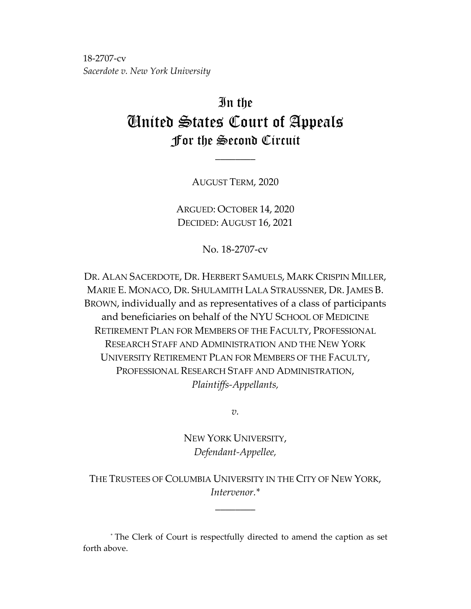18-2707-cv *Sacerdote v. New York University*

# In the United States Court of Appeals For the Second Circuit

AUGUST TERM, 2020

\_\_\_\_\_\_\_\_

ARGUED: OCTOBER 14, 2020 DECIDED: AUGUST 16, 2021

No. 18-2707-cv

DR. ALAN SACERDOTE, DR. HERBERT SAMUELS, MARK CRISPIN MILLER, MARIE E. MONACO, DR. SHULAMITH LALA STRAUSSNER, DR. JAMES B. BROWN, individually and as representatives of a class of participants and beneficiaries on behalf of the NYU SCHOOL OF MEDICINE RETIREMENT PLAN FOR MEMBERS OF THE FACULTY, PROFESSIONAL RESEARCH STAFF AND ADMINISTRATION AND THE NEW YORK UNIVERSITY RETIREMENT PLAN FOR MEMBERS OF THE FACULTY, PROFESSIONAL RESEARCH STAFF AND ADMINISTRATION, *Plaintiffs-Appellants,*

*v.*

NEW YORK UNIVERSITY, *Defendant-Appellee,*

THE TRUSTEES OF COLUMBIA UNIVERSITY IN THE CITY OF NEW YORK, *Intervenor.\**

\_\_\_\_\_\_\_\_

\* The Clerk of Court is respectfully directed to amend the caption as set forth above.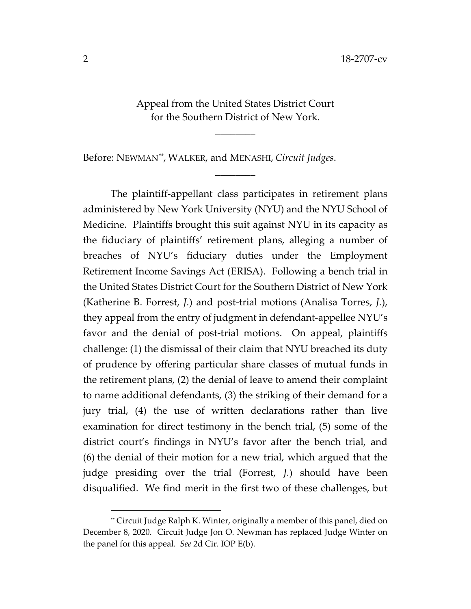Appeal from the United States District Court for the Southern District of New York.

\_\_\_\_\_\_\_\_

 $\overline{\phantom{a}}$ 

Before: NEWMAN[\\*\\*](#page-1-0) , WALKER, and MENASHI, *Circuit Judges*.

The plaintiff-appellant class participates in retirement plans administered by New York University (NYU) and the NYU School of Medicine. Plaintiffs brought this suit against NYU in its capacity as the fiduciary of plaintiffs' retirement plans, alleging a number of breaches of NYU's fiduciary duties under the Employment Retirement Income Savings Act (ERISA). Following a bench trial in the United States District Court for the Southern District of New York (Katherine B. Forrest, *J.*) and post-trial motions (Analisa Torres, *J.*), they appeal from the entry of judgment in defendant-appellee NYU's favor and the denial of post-trial motions. On appeal, plaintiffs challenge: (1) the dismissal of their claim that NYU breached its duty of prudence by offering particular share classes of mutual funds in the retirement plans, (2) the denial of leave to amend their complaint to name additional defendants, (3) the striking of their demand for a jury trial, (4) the use of written declarations rather than live examination for direct testimony in the bench trial, (5) some of the district court's findings in NYU's favor after the bench trial, and (6) the denial of their motion for a new trial, which argued that the judge presiding over the trial (Forrest, *J.*) should have been disqualified. We find merit in the first two of these challenges, but

<span id="page-1-0"></span><sup>\*\*</sup> Circuit Judge Ralph K. Winter, originally a member of this panel, died on December 8, 2020. Circuit Judge Jon O. Newman has replaced Judge Winter on the panel for this appeal. *See* 2d Cir. IOP E(b).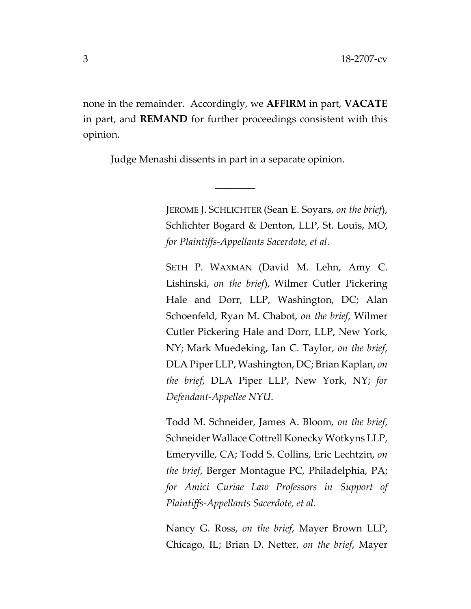none in the remainder. Accordingly, we **AFFIRM** in part, **VACATE** in part, and **REMAND** for further proceedings consistent with this opinion.

\_\_\_\_\_\_\_\_

Judge Menashi dissents in part in a separate opinion.

JEROME J. SCHLICHTER (Sean E. Soyars, *on the brief*), Schlichter Bogard & Denton, LLP, St. Louis, MO, *for Plaintiffs-Appellants Sacerdote, et al*.

SETH P. WAXMAN (David M. Lehn, Amy C. Lishinski, *on the brief*), Wilmer Cutler Pickering Hale and Dorr, LLP, Washington, DC; Alan Schoenfeld, Ryan M. Chabot, *on the brief*, Wilmer Cutler Pickering Hale and Dorr, LLP, New York, NY; Mark Muedeking, Ian C. Taylor, *on the brief*, DLA Piper LLP, Washington, DC; Brian Kaplan, *on the brief*, DLA Piper LLP, New York, NY; *for Defendant-Appellee NYU*.

Todd M. Schneider, James A. Bloom*, on the brief*, Schneider Wallace Cottrell Konecky Wotkyns LLP, Emeryville, CA; Todd S. Collins, Eric Lechtzin, *on the brief*, Berger Montague PC, Philadelphia, PA; *for Amici Curiae Law Professors in Support of Plaintiffs-Appellants Sacerdote, et al*.

Nancy G. Ross, *on the brief*, Mayer Brown LLP, Chicago, IL; Brian D. Netter, *on the brief*, Mayer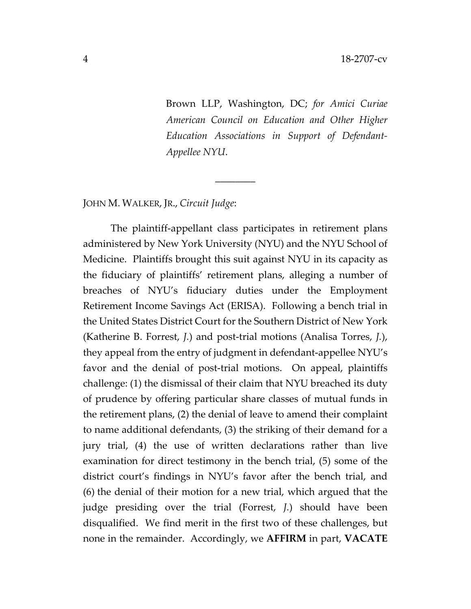Brown LLP, Washington, DC; *for Amici Curiae American Council on Education and Other Higher Education Associations in Support of Defendant-Appellee NYU*.

### JOHN M. WALKER, JR., *Circuit Judge*:

The plaintiff-appellant class participates in retirement plans administered by New York University (NYU) and the NYU School of Medicine. Plaintiffs brought this suit against NYU in its capacity as the fiduciary of plaintiffs' retirement plans, alleging a number of breaches of NYU's fiduciary duties under the Employment Retirement Income Savings Act (ERISA). Following a bench trial in the United States District Court for the Southern District of New York (Katherine B. Forrest, *J.*) and post-trial motions (Analisa Torres, *J.*), they appeal from the entry of judgment in defendant-appellee NYU's favor and the denial of post-trial motions. On appeal, plaintiffs challenge: (1) the dismissal of their claim that NYU breached its duty of prudence by offering particular share classes of mutual funds in the retirement plans, (2) the denial of leave to amend their complaint to name additional defendants, (3) the striking of their demand for a jury trial, (4) the use of written declarations rather than live examination for direct testimony in the bench trial, (5) some of the district court's findings in NYU's favor after the bench trial, and (6) the denial of their motion for a new trial, which argued that the judge presiding over the trial (Forrest, *J.*) should have been disqualified. We find merit in the first two of these challenges, but none in the remainder. Accordingly, we **AFFIRM** in part, **VACATE** 

 $\overline{\phantom{a}}$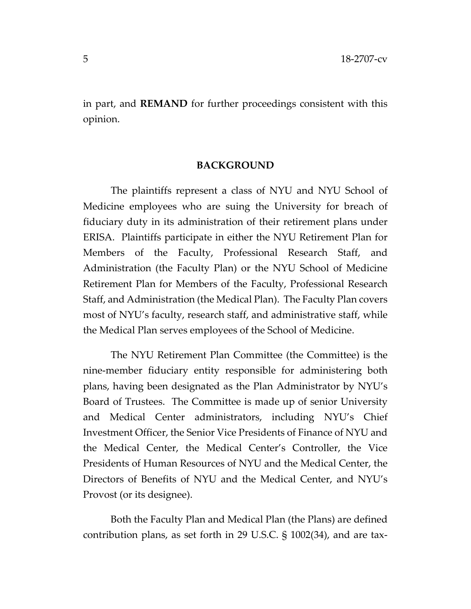in part, and **REMAND** for further proceedings consistent with this opinion.

#### **BACKGROUND**

The plaintiffs represent a class of NYU and NYU School of Medicine employees who are suing the University for breach of fiduciary duty in its administration of their retirement plans under ERISA. Plaintiffs participate in either the NYU Retirement Plan for Members of the Faculty, Professional Research Staff, and Administration (the Faculty Plan) or the NYU School of Medicine Retirement Plan for Members of the Faculty, Professional Research Staff, and Administration (the Medical Plan). The Faculty Plan covers most of NYU's faculty, research staff, and administrative staff, while the Medical Plan serves employees of the School of Medicine.

The NYU Retirement Plan Committee (the Committee) is the nine-member fiduciary entity responsible for administering both plans, having been designated as the Plan Administrator by NYU's Board of Trustees. The Committee is made up of senior University and Medical Center administrators, including NYU's Chief Investment Officer, the Senior Vice Presidents of Finance of NYU and the Medical Center, the Medical Center's Controller, the Vice Presidents of Human Resources of NYU and the Medical Center, the Directors of Benefits of NYU and the Medical Center, and NYU's Provost (or its designee).

Both the Faculty Plan and Medical Plan (the Plans) are defined contribution plans, as set forth in 29 U.S.C. § 1002(34), and are tax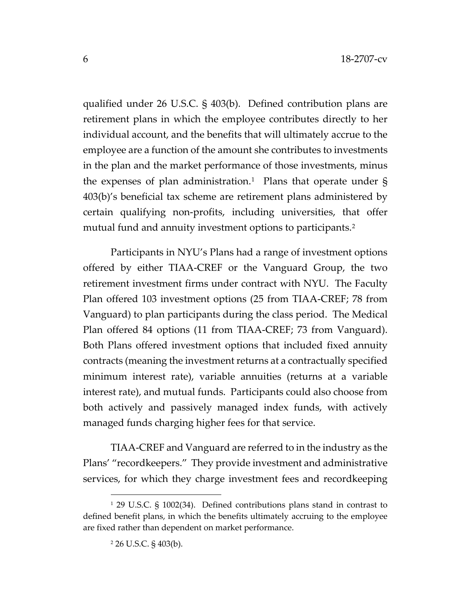qualified under 26 U.S.C. § 403(b). Defined contribution plans are retirement plans in which the employee contributes directly to her individual account, and the benefits that will ultimately accrue to the employee are a function of the amount she contributes to investments in the plan and the market performance of those investments, minus the expenses of plan administration.<sup>[1](#page-5-0)</sup> Plans that operate under  $\S$ 403(b)'s beneficial tax scheme are retirement plans administered by certain qualifying non-profits, including universities, that offer mutual fund and annuity investment options to participants.<sup>[2](#page-5-1)</sup>

Participants in NYU's Plans had a range of investment options offered by either TIAA-CREF or the Vanguard Group, the two retirement investment firms under contract with NYU. The Faculty Plan offered 103 investment options (25 from TIAA-CREF; 78 from Vanguard) to plan participants during the class period. The Medical Plan offered 84 options (11 from TIAA-CREF; 73 from Vanguard). Both Plans offered investment options that included fixed annuity contracts (meaning the investment returns at a contractually specified minimum interest rate), variable annuities (returns at a variable interest rate), and mutual funds. Participants could also choose from both actively and passively managed index funds, with actively managed funds charging higher fees for that service.

TIAA-CREF and Vanguard are referred to in the industry as the Plans' "recordkeepers." They provide investment and administrative services, for which they charge investment fees and recordkeeping

<span id="page-5-1"></span><span id="page-5-0"></span><sup>1</sup> 29 U.S.C. § 1002(34). Defined contributions plans stand in contrast to defined benefit plans, in which the benefits ultimately accruing to the employee are fixed rather than dependent on market performance.

<sup>2</sup> 26 U.S.C. § 403(b).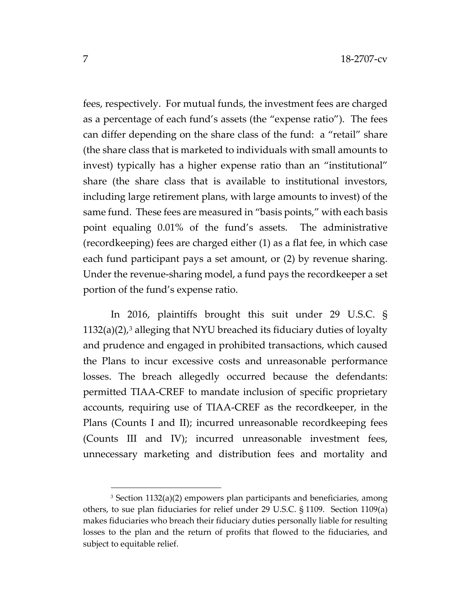fees, respectively. For mutual funds, the investment fees are charged as a percentage of each fund's assets (the "expense ratio"). The fees can differ depending on the share class of the fund: a "retail" share (the share class that is marketed to individuals with small amounts to invest) typically has a higher expense ratio than an "institutional" share (the share class that is available to institutional investors, including large retirement plans, with large amounts to invest) of the same fund. These fees are measured in "basis points," with each basis point equaling 0.01% of the fund's assets. The administrative (recordkeeping) fees are charged either (1) as a flat fee, in which case each fund participant pays a set amount, or (2) by revenue sharing. Under the revenue-sharing model, a fund pays the recordkeeper a set portion of the fund's expense ratio.

In 2016, plaintiffs brought this suit under 29 U.S.C. §  $1132(a)(2)$  $1132(a)(2)$  $1132(a)(2)$ ,<sup>3</sup> alleging that NYU breached its fiduciary duties of loyalty and prudence and engaged in prohibited transactions, which caused the Plans to incur excessive costs and unreasonable performance losses. The breach allegedly occurred because the defendants: permitted TIAA-CREF to mandate inclusion of specific proprietary accounts, requiring use of TIAA-CREF as the recordkeeper, in the Plans (Counts I and II); incurred unreasonable recordkeeping fees (Counts III and IV); incurred unreasonable investment fees, unnecessary marketing and distribution fees and mortality and

<span id="page-6-0"></span><sup>3</sup> Section 1132(a)(2) empowers plan participants and beneficiaries, among others, to sue plan fiduciaries for relief under 29 U.S.C. § 1109. Section 1109(a) makes fiduciaries who breach their fiduciary duties personally liable for resulting losses to the plan and the return of profits that flowed to the fiduciaries, and subject to equitable relief.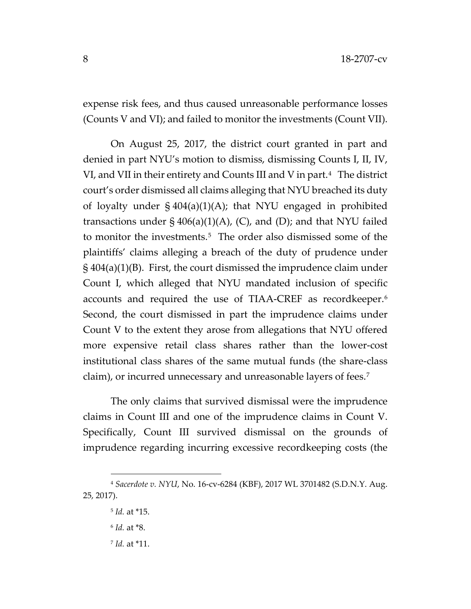expense risk fees, and thus caused unreasonable performance losses (Counts V and VI); and failed to monitor the investments (Count VII).

On August 25, 2017, the district court granted in part and denied in part NYU's motion to dismiss, dismissing Counts I, II, IV, VI, and VII in their entirety and Counts III and V in part.<sup>[4](#page-7-0)</sup> The district court's order dismissed all claims alleging that NYU breached its duty of loyalty under § 404(a)(1)(A); that NYU engaged in prohibited transactions under  $\S$  406(a)(1)(A), (C), and (D); and that NYU failed to monitor the investments.<sup>5</sup> The order also dismissed some of the plaintiffs' claims alleging a breach of the duty of prudence under § 404(a)(1)(B). First, the court dismissed the imprudence claim under Count I, which alleged that NYU mandated inclusion of specific accounts and required the use of TIAA-CREF as recordkeeper.[6](#page-7-2) Second, the court dismissed in part the imprudence claims under Count V to the extent they arose from allegations that NYU offered more expensive retail class shares rather than the lower-cost institutional class shares of the same mutual funds (the share-class claim), or incurred unnecessary and unreasonable layers of fees.[7](#page-7-3) 

The only claims that survived dismissal were the imprudence claims in Count III and one of the imprudence claims in Count V. Specifically, Count III survived dismissal on the grounds of imprudence regarding incurring excessive recordkeeping costs (the

<sup>7</sup> *Id.* at \*11.

<span id="page-7-3"></span><span id="page-7-2"></span><span id="page-7-1"></span><span id="page-7-0"></span><sup>4</sup> *Sacerdote v. NYU*, No. 16-cv-6284 (KBF), 2017 WL 3701482 (S.D.N.Y. Aug. 25, 2017).

<sup>5</sup> *Id.* at \*15.

<sup>6</sup> *Id.* at \*8.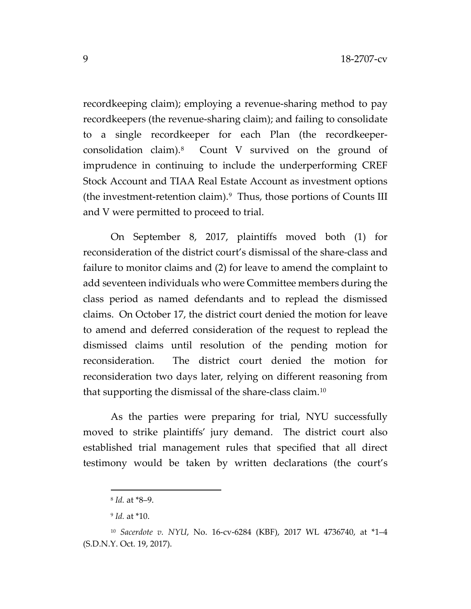recordkeeping claim); employing a revenue-sharing method to pay recordkeepers (the revenue-sharing claim); and failing to consolidate to a single recordkeeper for each Plan (the recordkeeperconsolidation claim).[8](#page-8-0) Count V survived on the ground of imprudence in continuing to include the underperforming CREF Stock Account and TIAA Real Estate Account as investment options (the investment-retention claim). $9$  Thus, those portions of Counts III and V were permitted to proceed to trial.

On September 8, 2017, plaintiffs moved both (1) for reconsideration of the district court's dismissal of the share-class and failure to monitor claims and (2) for leave to amend the complaint to add seventeen individuals who were Committee members during the class period as named defendants and to replead the dismissed claims. On October 17, the district court denied the motion for leave to amend and deferred consideration of the request to replead the dismissed claims until resolution of the pending motion for reconsideration. The district court denied the motion for reconsideration two days later, relying on different reasoning from that supporting the dismissal of the share-class claim.[10](#page-8-2)

As the parties were preparing for trial, NYU successfully moved to strike plaintiffs' jury demand. The district court also established trial management rules that specified that all direct testimony would be taken by written declarations (the court's

<sup>8</sup> *Id.* at \*8–9.

<sup>9</sup> *Id.* at \*10.

<span id="page-8-2"></span><span id="page-8-1"></span><span id="page-8-0"></span><sup>10</sup> *Sacerdote v. NYU*, No. 16-cv-6284 (KBF), 2017 WL 4736740, at \*1–4 (S.D.N.Y. Oct. 19, 2017).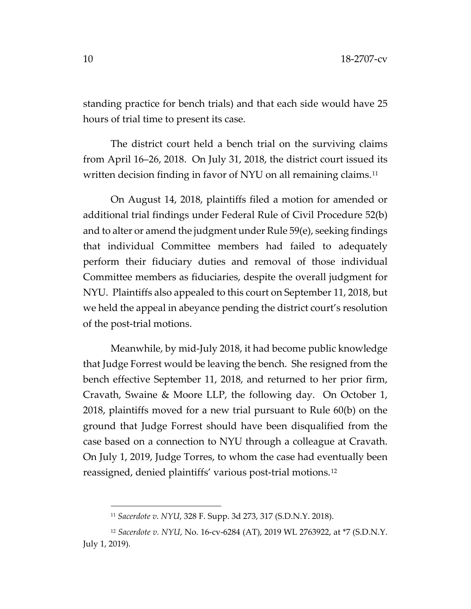standing practice for bench trials) and that each side would have 25 hours of trial time to present its case.

The district court held a bench trial on the surviving claims from April 16–26, 2018. On July 31, 2018, the district court issued its written decision finding in favor of NYU on all remaining claims.<sup>11</sup>

On August 14, 2018, plaintiffs filed a motion for amended or additional trial findings under Federal Rule of Civil Procedure 52(b) and to alter or amend the judgment under Rule 59(e), seeking findings that individual Committee members had failed to adequately perform their fiduciary duties and removal of those individual Committee members as fiduciaries, despite the overall judgment for NYU. Plaintiffs also appealed to this court on September 11, 2018, but we held the appeal in abeyance pending the district court's resolution of the post-trial motions.

Meanwhile, by mid-July 2018, it had become public knowledge that Judge Forrest would be leaving the bench. She resigned from the bench effective September 11, 2018, and returned to her prior firm, Cravath, Swaine & Moore LLP, the following day. On October 1, 2018, plaintiffs moved for a new trial pursuant to Rule 60(b) on the ground that Judge Forrest should have been disqualified from the case based on a connection to NYU through a colleague at Cravath. On July 1, 2019, Judge Torres, to whom the case had eventually been reassigned, denied plaintiffs' various post-trial motions.[12](#page-9-1)

<sup>11</sup> *Sacerdote v. NYU*, 328 F. Supp. 3d 273, 317 (S.D.N.Y. 2018).

<span id="page-9-1"></span><span id="page-9-0"></span><sup>12</sup> *Sacerdote v. NYU*, No. 16-cv-6284 (AT), 2019 WL 2763922, at \*7 (S.D.N.Y. July 1, 2019).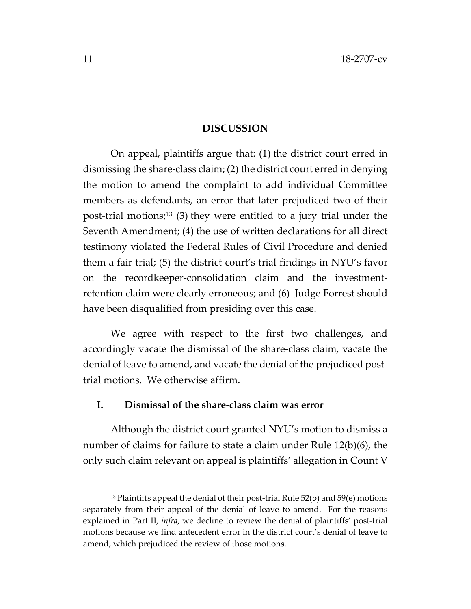#### **DISCUSSION**

On appeal, plaintiffs argue that: (1) the district court erred in dismissing the share-class claim; (2) the district court erred in denying the motion to amend the complaint to add individual Committee members as defendants, an error that later prejudiced two of their post-trial motions;[13](#page-10-0) (3) they were entitled to a jury trial under the Seventh Amendment; (4) the use of written declarations for all direct testimony violated the Federal Rules of Civil Procedure and denied them a fair trial; (5) the district court's trial findings in NYU's favor on the recordkeeper-consolidation claim and the investmentretention claim were clearly erroneous; and (6) Judge Forrest should have been disqualified from presiding over this case.

We agree with respect to the first two challenges, and accordingly vacate the dismissal of the share-class claim, vacate the denial of leave to amend, and vacate the denial of the prejudiced posttrial motions. We otherwise affirm.

### **I. Dismissal of the share-class claim was error**

Although the district court granted NYU's motion to dismiss a number of claims for failure to state a claim under Rule 12(b)(6), the only such claim relevant on appeal is plaintiffs' allegation in Count V

<span id="page-10-0"></span> $13$  Plaintiffs appeal the denial of their post-trial Rule 52(b) and 59(e) motions separately from their appeal of the denial of leave to amend. For the reasons explained in Part II, *infra*, we decline to review the denial of plaintiffs' post-trial motions because we find antecedent error in the district court's denial of leave to amend, which prejudiced the review of those motions.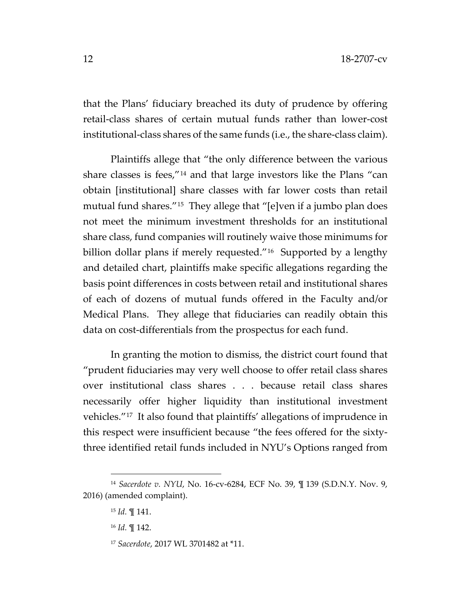that the Plans' fiduciary breached its duty of prudence by offering retail-class shares of certain mutual funds rather than lower-cost institutional-class shares of the same funds (i.e., the share-class claim).

Plaintiffs allege that "the only difference between the various share classes is fees,"[14](#page-11-0) and that large investors like the Plans "can obtain [institutional] share classes with far lower costs than retail mutual fund shares."[15](#page-11-1) They allege that "[e]ven if a jumbo plan does not meet the minimum investment thresholds for an institutional share class, fund companies will routinely waive those minimums for billion dollar plans if merely requested."<sup>16</sup> Supported by a lengthy and detailed chart, plaintiffs make specific allegations regarding the basis point differences in costs between retail and institutional shares of each of dozens of mutual funds offered in the Faculty and/or Medical Plans. They allege that fiduciaries can readily obtain this data on cost-differentials from the prospectus for each fund.

In granting the motion to dismiss, the district court found that "prudent fiduciaries may very well choose to offer retail class shares over institutional class shares . . . because retail class shares necessarily offer higher liquidity than institutional investment vehicles.["17](#page-11-3) It also found that plaintiffs' allegations of imprudence in this respect were insufficient because "the fees offered for the sixtythree identified retail funds included in NYU's Options ranged from

<sup>17</sup> *Sacerdote*, 2017 WL 3701482 at \*11.

<span id="page-11-3"></span><span id="page-11-2"></span><span id="page-11-1"></span><span id="page-11-0"></span><sup>14</sup> *Sacerdote v. NYU*, No. 16-cv-6284, ECF No. 39, ¶ 139 (S.D.N.Y. Nov. 9, 2016) (amended complaint).

<sup>15</sup> *Id.* ¶ 141.

<sup>16</sup> *Id.* ¶ 142.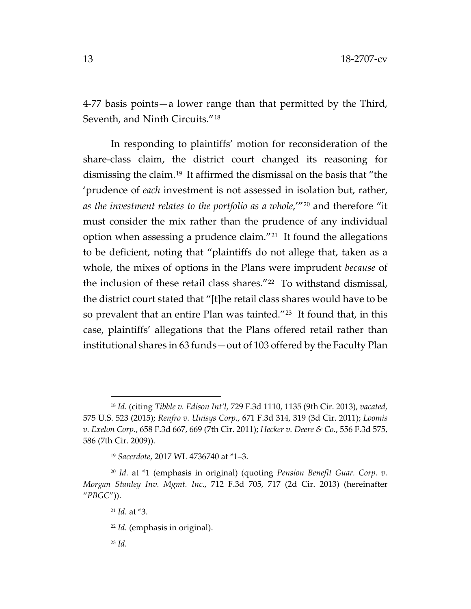4-77 basis points—a lower range than that permitted by the Third, Seventh, and Ninth Circuits."[18](#page-12-0)

In responding to plaintiffs' motion for reconsideration of the share-class claim, the district court changed its reasoning for dismissing the claim.[19](#page-12-1) It affirmed the dismissal on the basis that "the 'prudence of *each* investment is not assessed in isolation but, rather, *as the investment relates to the portfolio as a whole*,'"[20](#page-12-2) and therefore "it must consider the mix rather than the prudence of any individual option when assessing a prudence claim."[21](#page-12-3) It found the allegations to be deficient, noting that "plaintiffs do not allege that, taken as a whole, the mixes of options in the Plans were imprudent *because* of the inclusion of these retail class shares."[22](#page-12-4) To withstand dismissal, the district court stated that "[t]he retail class shares would have to be so prevalent that an entire Plan was tainted."<sup>[23](#page-12-5)</sup> It found that, in this case, plaintiffs' allegations that the Plans offered retail rather than institutional shares in 63 funds—out of 103 offered by the Faculty Plan

<span id="page-12-0"></span><sup>18</sup> *Id.* (citing *Tibble v. Edison Int'l*, 729 F.3d 1110, 1135 (9th Cir. 2013), *vacated*, 575 U.S. 523 (2015); *Renfro v. Unisys Corp.*, 671 F.3d 314, 319 (3d Cir. 2011); *Loomis v. Exelon Corp.*, 658 F.3d 667, 669 (7th Cir. 2011); *Hecker v. Deere & Co.*, 556 F.3d 575, 586 (7th Cir. 2009)).

<sup>19</sup> *Sacerdote*, 2017 WL 4736740 at \*1–3.

<span id="page-12-5"></span><span id="page-12-4"></span><span id="page-12-3"></span><span id="page-12-2"></span><span id="page-12-1"></span><sup>20</sup> *Id.* at \*1 (emphasis in original) (quoting *Pension Benefit Guar. Corp. v. Morgan Stanley Inv. Mgmt. Inc.*, 712 F.3d 705, 717 (2d Cir. 2013) (hereinafter "*PBGC*")).

<sup>21</sup> *Id.* at \*3.

<sup>22</sup> *Id.* (emphasis in original).

<sup>23</sup> *Id.*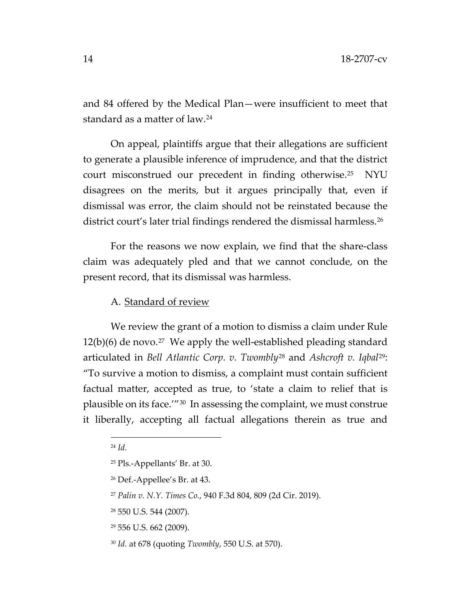and 84 offered by the Medical Plan—were insufficient to meet that standard as a matter of law.[24](#page-13-0)

On appeal, plaintiffs argue that their allegations are sufficient to generate a plausible inference of imprudence, and that the district court misconstrued our precedent in finding otherwise.[25](#page-13-1) NYU disagrees on the merits, but it argues principally that, even if dismissal was error, the claim should not be reinstated because the district court's later trial findings rendered the dismissal harmless.<sup>26</sup>

For the reasons we now explain, we find that the share-class claim was adequately pled and that we cannot conclude, on the present record, that its dismissal was harmless.

# A. Standard of review

We review the grant of a motion to dismiss a claim under Rule  $12(b)(6)$  de novo.<sup>27</sup> We apply the well-established pleading standard articulated in *Bell Atlantic Corp. v. Twombly*[28](#page-13-4) and *Ashcroft v. Iqbal*[29:](#page-13-5) "To survive a motion to dismiss, a complaint must contain sufficient factual matter, accepted as true, to 'state a claim to relief that is plausible on its face.'"[30](#page-13-6) In assessing the complaint, we must construe it liberally, accepting all factual allegations therein as true and

<span id="page-13-0"></span><sup>24</sup> *Id.*

<span id="page-13-1"></span><sup>25</sup> Pls.-Appellants' Br. at 30.

<span id="page-13-2"></span><sup>26</sup> Def.-Appellee's Br. at 43.

<span id="page-13-3"></span><sup>27</sup> *Palin v. N.Y. Times Co.*, 940 F.3d 804, 809 (2d Cir. 2019).

<span id="page-13-4"></span><sup>28</sup> 550 U.S. 544 (2007).

<span id="page-13-5"></span><sup>29</sup> 556 U.S. 662 (2009).

<span id="page-13-6"></span><sup>30</sup> *Id.* at 678 (quoting *Twombly*, 550 U.S. at 570).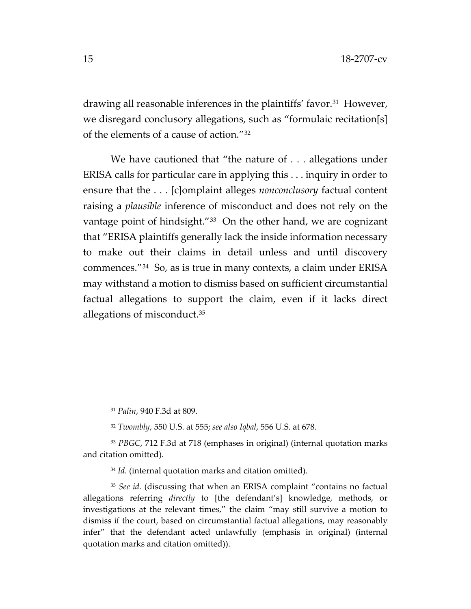drawing all reasonable inferences in the plaintiffs' favor.<sup>31</sup> However, we disregard conclusory allegations, such as "formulaic recitation[s] of the elements of a cause of action."[32](#page-14-1)

We have cautioned that "the nature of . . . allegations under ERISA calls for particular care in applying this . . . inquiry in order to ensure that the . . . [c]omplaint alleges *nonconclusory* factual content raising a *plausible* inference of misconduct and does not rely on the vantage point of hindsight."<sup>[33](#page-14-2)</sup> On the other hand, we are cognizant that "ERISA plaintiffs generally lack the inside information necessary to make out their claims in detail unless and until discovery commences."[34](#page-14-3) So, as is true in many contexts, a claim under ERISA may withstand a motion to dismiss based on sufficient circumstantial factual allegations to support the claim, even if it lacks direct allegations of misconduct.[35](#page-14-4) 

<span id="page-14-2"></span><span id="page-14-1"></span><span id="page-14-0"></span><sup>33</sup> *PBGC*, 712 F.3d at 718 (emphases in original) (internal quotation marks and citation omitted).

<sup>34</sup> *Id.* (internal quotation marks and citation omitted).

<span id="page-14-4"></span><span id="page-14-3"></span><sup>35</sup> *See id.* (discussing that when an ERISA complaint "contains no factual allegations referring *directly* to [the defendant's] knowledge, methods, or investigations at the relevant times," the claim "may still survive a motion to dismiss if the court, based on circumstantial factual allegations, may reasonably infer" that the defendant acted unlawfully (emphasis in original) (internal quotation marks and citation omitted)).

<sup>31</sup> *Palin*, 940 F.3d at 809.

<sup>32</sup> *Twombly*, 550 U.S. at 555; *see also Iqbal*, 556 U.S. at 678.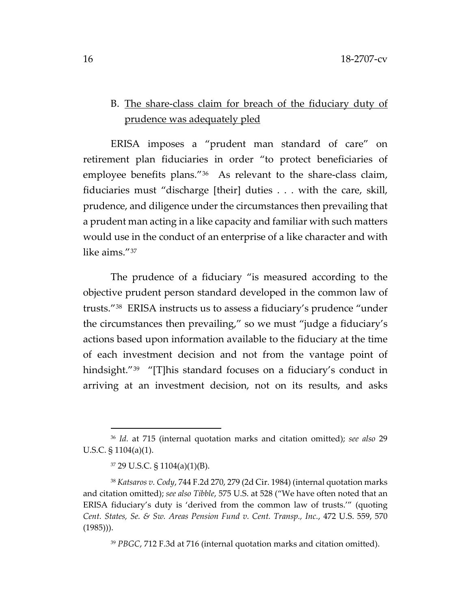# B. The share-class claim for breach of the fiduciary duty of prudence was adequately pled

ERISA imposes a "prudent man standard of care" on retirement plan fiduciaries in order "to protect beneficiaries of employee benefits plans."[36](#page-15-0) As relevant to the share-class claim, fiduciaries must "discharge [their] duties . . . with the care, skill, prudence, and diligence under the circumstances then prevailing that a prudent man acting in a like capacity and familiar with such matters would use in the conduct of an enterprise of a like character and with like aims."[37](#page-15-1)

The prudence of a fiduciary "is measured according to the objective prudent person standard developed in the common law of trusts."[38](#page-15-2) ERISA instructs us to assess a fiduciary's prudence "under the circumstances then prevailing," so we must "judge a fiduciary's actions based upon information available to the fiduciary at the time of each investment decision and not from the vantage point of hindsight."<sup>39</sup> "[T]his standard focuses on a fiduciary's conduct in arriving at an investment decision, not on its results, and asks

<sup>39</sup> *PBGC*, 712 F.3d at 716 (internal quotation marks and citation omitted).

<span id="page-15-0"></span><sup>36</sup> *Id.* at 715 (internal quotation marks and citation omitted); *see also* 29 U.S.C. § 1104(a)(1).

<sup>37</sup> 29 U.S.C. § 1104(a)(1)(B).

<span id="page-15-3"></span><span id="page-15-2"></span><span id="page-15-1"></span><sup>38</sup> *Katsaros v. Cody*, 744 F.2d 270, 279 (2d Cir. 1984) (internal quotation marks and citation omitted); *see also Tibble*, 575 U.S. at 528 ("We have often noted that an ERISA fiduciary's duty is 'derived from the common law of trusts.'" (quoting *Cent. States, Se. & Sw. Areas Pension Fund v. Cent. Transp., Inc.*, 472 U.S. 559, 570 (1985))).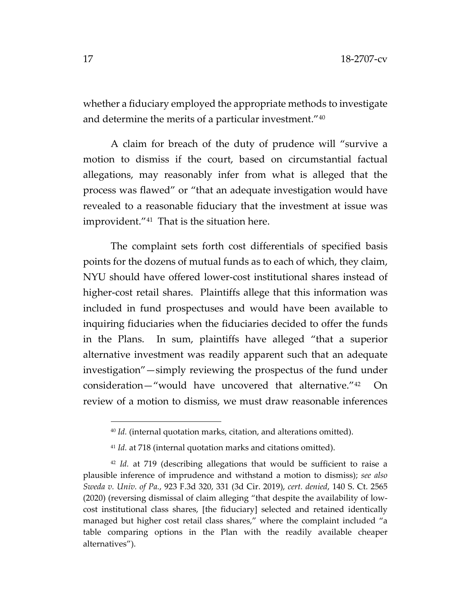whether a fiduciary employed the appropriate methods to investigate and determine the merits of a particular investment."[40](#page-16-0)

A claim for breach of the duty of prudence will "survive a motion to dismiss if the court, based on circumstantial factual allegations, may reasonably infer from what is alleged that the process was flawed" or "that an adequate investigation would have revealed to a reasonable fiduciary that the investment at issue was improvident."[41](#page-16-1) That is the situation here.

The complaint sets forth cost differentials of specified basis points for the dozens of mutual funds as to each of which, they claim, NYU should have offered lower-cost institutional shares instead of higher-cost retail shares. Plaintiffs allege that this information was included in fund prospectuses and would have been available to inquiring fiduciaries when the fiduciaries decided to offer the funds in the Plans. In sum, plaintiffs have alleged "that a superior alternative investment was readily apparent such that an adequate investigation"—simply reviewing the prospectus of the fund under consideration—"would have uncovered that alternative."[42](#page-16-2) On review of a motion to dismiss, we must draw reasonable inferences

<sup>40</sup> *Id.* (internal quotation marks, citation, and alterations omitted).

<sup>41</sup> *Id.* at 718 (internal quotation marks and citations omitted).

<span id="page-16-2"></span><span id="page-16-1"></span><span id="page-16-0"></span><sup>&</sup>lt;sup>42</sup> *Id.* at 719 (describing allegations that would be sufficient to raise a plausible inference of imprudence and withstand a motion to dismiss); *see also Sweda v. Univ. of Pa.*, 923 F.3d 320, 331 (3d Cir. 2019), *cert. denied*, 140 S. Ct. 2565 (2020) (reversing dismissal of claim alleging "that despite the availability of lowcost institutional class shares, [the fiduciary] selected and retained identically managed but higher cost retail class shares," where the complaint included "a table comparing options in the Plan with the readily available cheaper alternatives").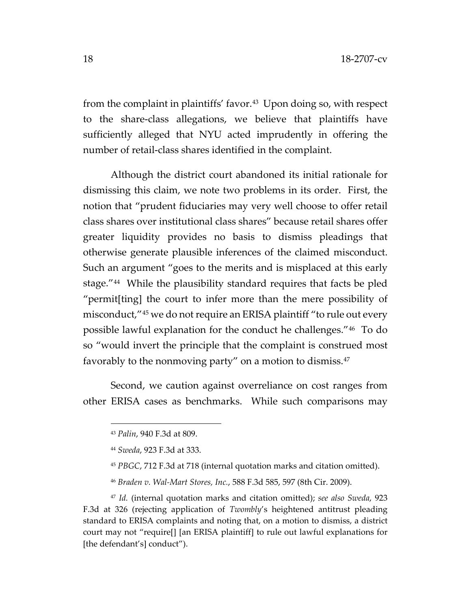from the complaint in plaintiffs' favor.<sup>[43](#page-17-0)</sup> Upon doing so, with respect to the share-class allegations, we believe that plaintiffs have sufficiently alleged that NYU acted imprudently in offering the number of retail-class shares identified in the complaint.

Although the district court abandoned its initial rationale for dismissing this claim, we note two problems in its order. First, the notion that "prudent fiduciaries may very well choose to offer retail class shares over institutional class shares" because retail shares offer greater liquidity provides no basis to dismiss pleadings that otherwise generate plausible inferences of the claimed misconduct. Such an argument "goes to the merits and is misplaced at this early stage."[44](#page-17-1) While the plausibility standard requires that facts be pled "permit[ting] the court to infer more than the mere possibility of misconduct,"[45](#page-17-2) we do not require an ERISA plaintiff "to rule out every possible lawful explanation for the conduct he challenges."[46](#page-17-3) To do so "would invert the principle that the complaint is construed most favorably to the nonmoving party" on a motion to dismiss.<sup>[47](#page-17-4)</sup>

<span id="page-17-0"></span>Second, we caution against overreliance on cost ranges from other ERISA cases as benchmarks. While such comparisons may

<sup>43</sup> *Palin*, 940 F.3d at 809.

<sup>44</sup> *Sweda*, 923 F.3d at 333.

<sup>45</sup> *PBGC*, 712 F.3d at 718 (internal quotation marks and citation omitted).

<sup>46</sup> *Braden v. Wal-Mart Stores, Inc.*, 588 F.3d 585, 597 (8th Cir. 2009).

<span id="page-17-4"></span><span id="page-17-3"></span><span id="page-17-2"></span><span id="page-17-1"></span><sup>47</sup> *Id.* (internal quotation marks and citation omitted); *see also Sweda*, 923 F.3d at 326 (rejecting application of *Twombly*'s heightened antitrust pleading standard to ERISA complaints and noting that, on a motion to dismiss, a district court may not "require[] [an ERISA plaintiff] to rule out lawful explanations for [the defendant's] conduct").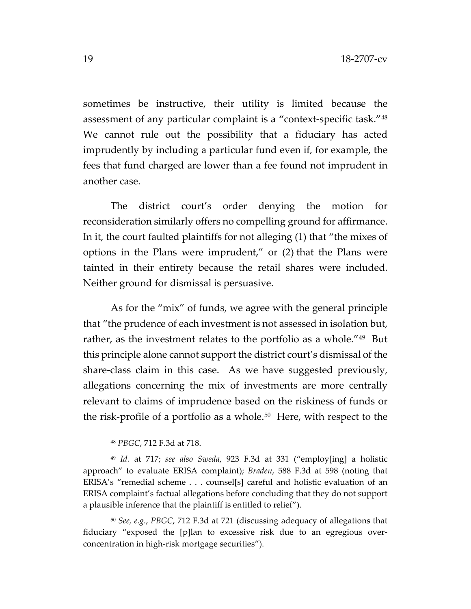sometimes be instructive, their utility is limited because the assessment of any particular complaint is a "context-specific task."[48](#page-18-0) We cannot rule out the possibility that a fiduciary has acted imprudently by including a particular fund even if, for example, the fees that fund charged are lower than a fee found not imprudent in another case.

The district court's order denying the motion for reconsideration similarly offers no compelling ground for affirmance. In it, the court faulted plaintiffs for not alleging (1) that "the mixes of options in the Plans were imprudent," or (2) that the Plans were tainted in their entirety because the retail shares were included. Neither ground for dismissal is persuasive.

As for the "mix" of funds, we agree with the general principle that "the prudence of each investment is not assessed in isolation but, rather, as the investment relates to the portfolio as a whole.<sup>"49</sup> But this principle alone cannot support the district court's dismissal of the share-class claim in this case. As we have suggested previously, allegations concerning the mix of investments are more centrally relevant to claims of imprudence based on the riskiness of funds or the risk-profile of a portfolio as a whole.<sup>50</sup> Here, with respect to the

<sup>48</sup> *PBGC*, 712 F.3d at 718.

<span id="page-18-1"></span><span id="page-18-0"></span><sup>49</sup> *Id.* at 717; *see also Sweda*, 923 F.3d at 331 ("employ[ing] a holistic approach" to evaluate ERISA complaint); *Braden*, 588 F.3d at 598 (noting that ERISA's "remedial scheme . . . counsel[s] careful and holistic evaluation of an ERISA complaint's factual allegations before concluding that they do not support a plausible inference that the plaintiff is entitled to relief").

<span id="page-18-2"></span><sup>50</sup> *See, e.g.*, *PBGC*, 712 F.3d at 721 (discussing adequacy of allegations that fiduciary "exposed the [p]lan to excessive risk due to an egregious overconcentration in high-risk mortgage securities").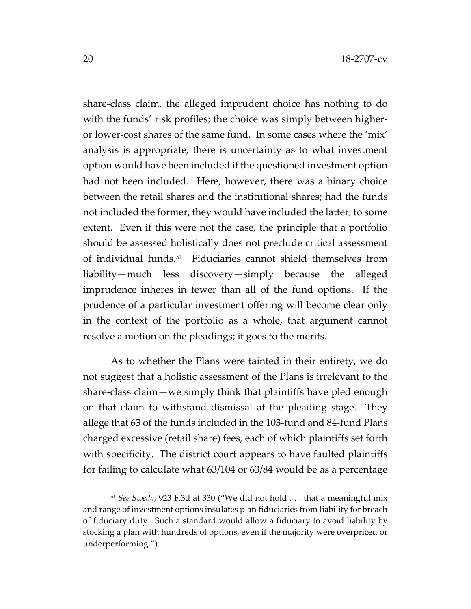share-class claim, the alleged imprudent choice has nothing to do with the funds' risk profiles; the choice was simply between higheror lower-cost shares of the same fund. In some cases where the 'mix' analysis is appropriate, there is uncertainty as to what investment option would have been included if the questioned investment option had not been included. Here, however, there was a binary choice between the retail shares and the institutional shares; had the funds not included the former, they would have included the latter, to some extent. Even if this were not the case, the principle that a portfolio should be assessed holistically does not preclude critical assessment of individual funds.[51](#page-19-0) Fiduciaries cannot shield themselves from liability—much less discovery—simply because the alleged imprudence inheres in fewer than all of the fund options. If the prudence of a particular investment offering will become clear only in the context of the portfolio as a whole, that argument cannot resolve a motion on the pleadings; it goes to the merits.

As to whether the Plans were tainted in their entirety, we do not suggest that a holistic assessment of the Plans is irrelevant to the share-class claim—we simply think that plaintiffs have pled enough on that claim to withstand dismissal at the pleading stage. They allege that 63 of the funds included in the 103-fund and 84-fund Plans charged excessive (retail share) fees, each of which plaintiffs set forth with specificity. The district court appears to have faulted plaintiffs for failing to calculate what 63/104 or 63/84 would be as a percentage

<span id="page-19-0"></span><sup>51</sup> *See Sweda*, 923 F.3d at 330 ("We did not hold . . . that a meaningful mix and range of investment options insulates plan fiduciaries from liability for breach of fiduciary duty. Such a standard would allow a fiduciary to avoid liability by stocking a plan with hundreds of options, even if the majority were overpriced or underperforming.").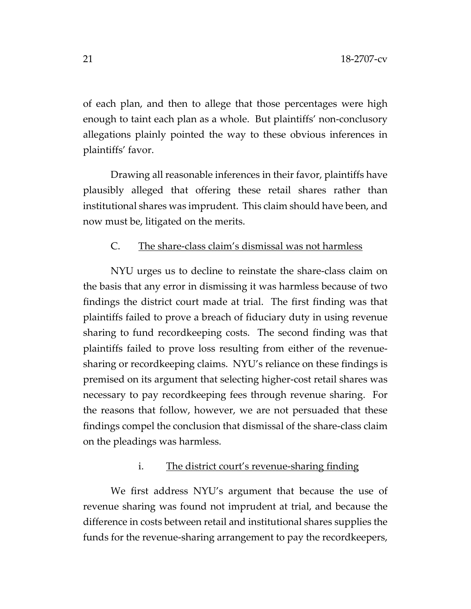of each plan, and then to allege that those percentages were high enough to taint each plan as a whole. But plaintiffs' non-conclusory allegations plainly pointed the way to these obvious inferences in plaintiffs' favor.

Drawing all reasonable inferences in their favor, plaintiffs have plausibly alleged that offering these retail shares rather than institutional shares was imprudent. This claim should have been, and now must be, litigated on the merits.

# C. The share-class claim's dismissal was not harmless

NYU urges us to decline to reinstate the share-class claim on the basis that any error in dismissing it was harmless because of two findings the district court made at trial. The first finding was that plaintiffs failed to prove a breach of fiduciary duty in using revenue sharing to fund recordkeeping costs. The second finding was that plaintiffs failed to prove loss resulting from either of the revenuesharing or recordkeeping claims. NYU's reliance on these findings is premised on its argument that selecting higher-cost retail shares was necessary to pay recordkeeping fees through revenue sharing. For the reasons that follow, however, we are not persuaded that these findings compel the conclusion that dismissal of the share-class claim on the pleadings was harmless.

# i. The district court's revenue-sharing finding

We first address NYU's argument that because the use of revenue sharing was found not imprudent at trial, and because the difference in costs between retail and institutional shares supplies the funds for the revenue-sharing arrangement to pay the recordkeepers,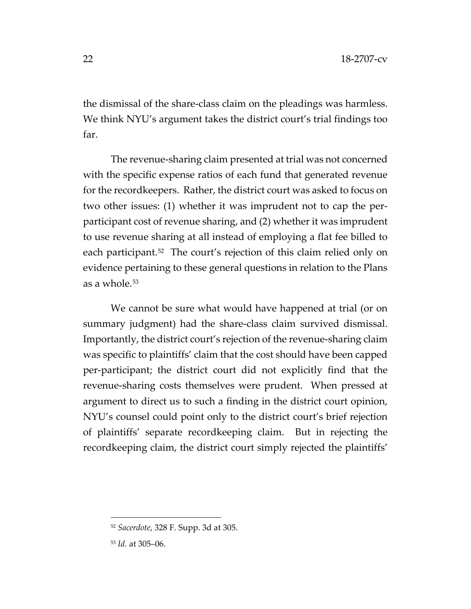the dismissal of the share-class claim on the pleadings was harmless. We think NYU's argument takes the district court's trial findings too far.

The revenue-sharing claim presented at trial was not concerned with the specific expense ratios of each fund that generated revenue for the recordkeepers. Rather, the district court was asked to focus on two other issues: (1) whether it was imprudent not to cap the perparticipant cost of revenue sharing, and (2) whether it was imprudent to use revenue sharing at all instead of employing a flat fee billed to each participant.<sup>[52](#page-21-0)</sup> The court's rejection of this claim relied only on evidence pertaining to these general questions in relation to the Plans as a whole.[53](#page-21-1)

We cannot be sure what would have happened at trial (or on summary judgment) had the share-class claim survived dismissal. Importantly, the district court's rejection of the revenue-sharing claim was specific to plaintiffs' claim that the cost should have been capped per-participant; the district court did not explicitly find that the revenue-sharing costs themselves were prudent. When pressed at argument to direct us to such a finding in the district court opinion, NYU's counsel could point only to the district court's brief rejection of plaintiffs' separate recordkeeping claim. But in rejecting the recordkeeping claim, the district court simply rejected the plaintiffs'

<span id="page-21-0"></span><sup>52</sup> *Sacerdote*, 328 F. Supp. 3d at 305.

<span id="page-21-1"></span><sup>53</sup> *Id.* at 305–06.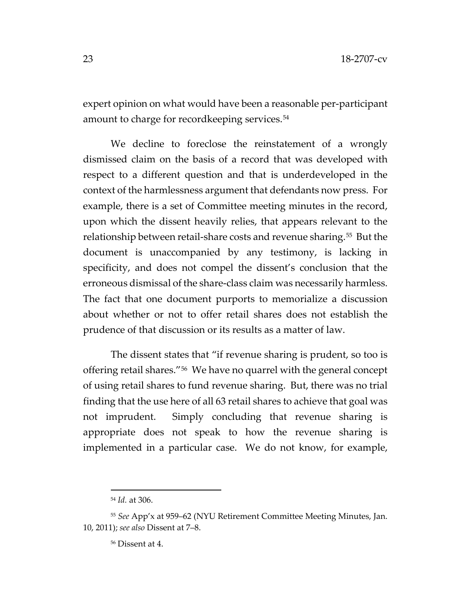expert opinion on what would have been a reasonable per-participant amount to charge for recordkeeping services.[54](#page-22-0) 

We decline to foreclose the reinstatement of a wrongly dismissed claim on the basis of a record that was developed with respect to a different question and that is underdeveloped in the context of the harmlessness argument that defendants now press. For example, there is a set of Committee meeting minutes in the record, upon which the dissent heavily relies, that appears relevant to the relationship between retail-share costs and revenue sharing.[55](#page-22-1) But the document is unaccompanied by any testimony, is lacking in specificity, and does not compel the dissent's conclusion that the erroneous dismissal of the share-class claim was necessarily harmless. The fact that one document purports to memorialize a discussion about whether or not to offer retail shares does not establish the prudence of that discussion or its results as a matter of law.

The dissent states that "if revenue sharing is prudent, so too is offering retail shares."[56](#page-22-2) We have no quarrel with the general concept of using retail shares to fund revenue sharing. But, there was no trial finding that the use here of all 63 retail shares to achieve that goal was not imprudent. Simply concluding that revenue sharing is appropriate does not speak to how the revenue sharing is implemented in a particular case. We do not know, for example,

<sup>54</sup> *Id.* at 306.

<span id="page-22-2"></span><span id="page-22-1"></span><span id="page-22-0"></span><sup>55</sup> *See* App'x at 959–62 (NYU Retirement Committee Meeting Minutes, Jan. 10, 2011); *see also* Dissent at 7–8.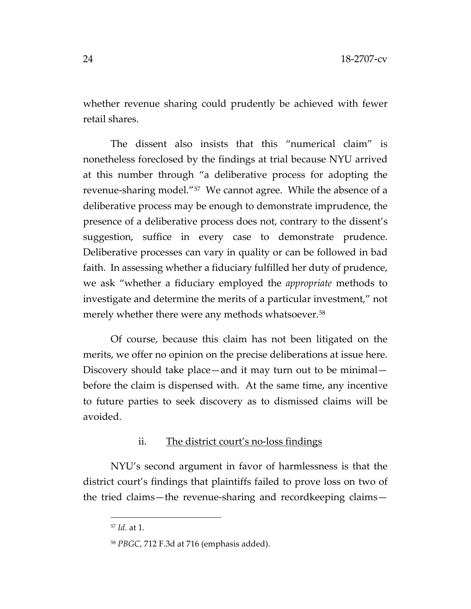whether revenue sharing could prudently be achieved with fewer retail shares.

The dissent also insists that this "numerical claim" is nonetheless foreclosed by the findings at trial because NYU arrived at this number through "a deliberative process for adopting the revenue-sharing model."[57](#page-23-0) We cannot agree. While the absence of a deliberative process may be enough to demonstrate imprudence, the presence of a deliberative process does not, contrary to the dissent's suggestion, suffice in every case to demonstrate prudence. Deliberative processes can vary in quality or can be followed in bad faith. In assessing whether a fiduciary fulfilled her duty of prudence, we ask "whether a fiduciary employed the *appropriate* methods to investigate and determine the merits of a particular investment," not merely whether there were any methods whatsoever.<sup>[58](#page-23-1)</sup>

Of course, because this claim has not been litigated on the merits, we offer no opinion on the precise deliberations at issue here. Discovery should take place—and it may turn out to be minimal before the claim is dispensed with. At the same time, any incentive to future parties to seek discovery as to dismissed claims will be avoided.

# ii. The district court's no-loss findings

<span id="page-23-0"></span>NYU's second argument in favor of harmlessness is that the district court's findings that plaintiffs failed to prove loss on two of the tried claims—the revenue-sharing and recordkeeping claims—

<sup>57</sup> *Id.* at 1.

<span id="page-23-1"></span><sup>58</sup> *PBGC*, 712 F.3d at 716 (emphasis added).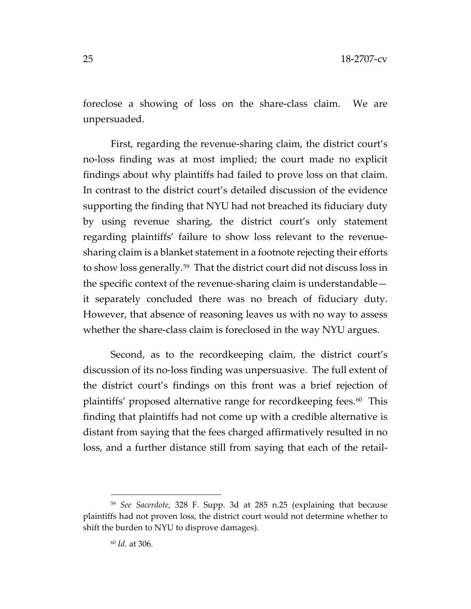foreclose a showing of loss on the share-class claim. We are unpersuaded.

First, regarding the revenue-sharing claim, the district court's no-loss finding was at most implied; the court made no explicit findings about why plaintiffs had failed to prove loss on that claim. In contrast to the district court's detailed discussion of the evidence supporting the finding that NYU had not breached its fiduciary duty by using revenue sharing, the district court's only statement regarding plaintiffs' failure to show loss relevant to the revenuesharing claim is a blanket statement in a footnote rejecting their efforts to show loss generally.[59](#page-24-0) That the district court did not discuss loss in the specific context of the revenue-sharing claim is understandable it separately concluded there was no breach of fiduciary duty. However, that absence of reasoning leaves us with no way to assess whether the share-class claim is foreclosed in the way NYU argues.

Second, as to the recordkeeping claim, the district court's discussion of its no-loss finding was unpersuasive. The full extent of the district court's findings on this front was a brief rejection of plaintiffs' proposed alternative range for recordkeeping fees.<sup>60</sup> This finding that plaintiffs had not come up with a credible alternative is distant from saying that the fees charged affirmatively resulted in no loss, and a further distance still from saying that each of the retail-

<span id="page-24-1"></span><span id="page-24-0"></span><sup>59</sup> *See Sacerdote*, 328 F. Supp. 3d at 285 n.25 (explaining that because plaintiffs had not proven loss, the district court would not determine whether to shift the burden to NYU to disprove damages).

<sup>60</sup> *Id.* at 306.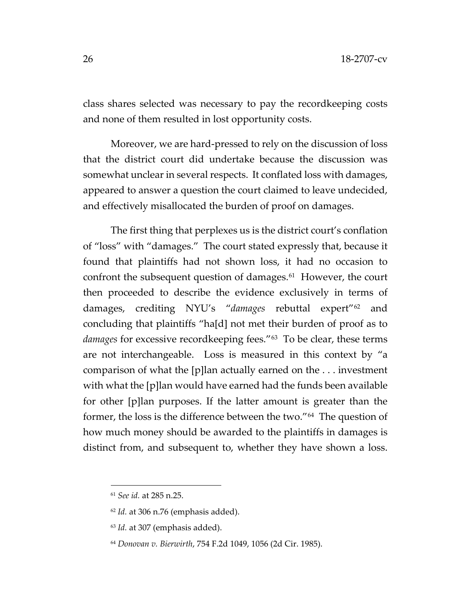class shares selected was necessary to pay the recordkeeping costs and none of them resulted in lost opportunity costs.

Moreover, we are hard-pressed to rely on the discussion of loss that the district court did undertake because the discussion was somewhat unclear in several respects. It conflated loss with damages, appeared to answer a question the court claimed to leave undecided, and effectively misallocated the burden of proof on damages.

The first thing that perplexes us is the district court's conflation of "loss" with "damages." The court stated expressly that, because it found that plaintiffs had not shown loss, it had no occasion to confront the subsequent question of damages.<sup>61</sup> However, the court then proceeded to describe the evidence exclusively in terms of damages, crediting NYU's "*damages* rebuttal expert"[62](#page-25-1) and concluding that plaintiffs "ha[d] not met their burden of proof as to *damages* for excessive recordkeeping fees."[63](#page-25-2) To be clear, these terms are not interchangeable. Loss is measured in this context by "a comparison of what the [p]lan actually earned on the . . . investment with what the [p]lan would have earned had the funds been available for other [p]lan purposes. If the latter amount is greater than the former, the loss is the difference between the two."[64](#page-25-3) The question of how much money should be awarded to the plaintiffs in damages is distinct from, and subsequent to, whether they have shown a loss.

<span id="page-25-0"></span><sup>61</sup> *See id.* at 285 n.25.

<span id="page-25-2"></span><span id="page-25-1"></span><sup>62</sup> *Id.* at 306 n.76 (emphasis added).

<sup>63</sup> *Id.* at 307 (emphasis added).

<span id="page-25-3"></span><sup>64</sup> *Donovan v. Bierwirth*, 754 F.2d 1049, 1056 (2d Cir. 1985).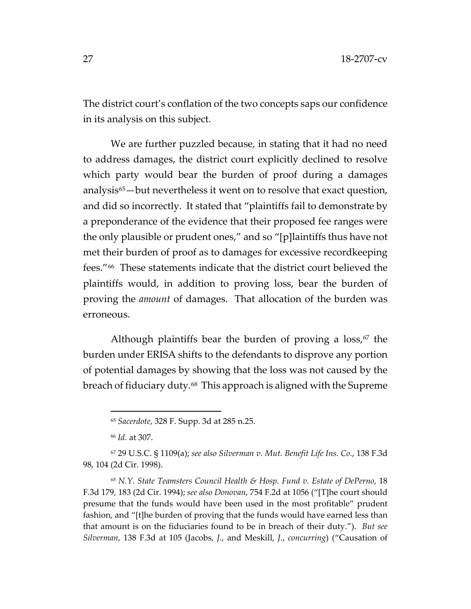The district court's conflation of the two concepts saps our confidence in its analysis on this subject.

We are further puzzled because, in stating that it had no need to address damages, the district court explicitly declined to resolve which party would bear the burden of proof during a damages analysis<sup>65</sup>—but nevertheless it went on to resolve that exact question, and did so incorrectly. It stated that "plaintiffs fail to demonstrate by a preponderance of the evidence that their proposed fee ranges were the only plausible or prudent ones," and so "[p]laintiffs thus have not met their burden of proof as to damages for excessive recordkeeping fees."[66](#page-26-1) These statements indicate that the district court believed the plaintiffs would, in addition to proving loss, bear the burden of proving the *amount* of damages. That allocation of the burden was erroneous.

Although plaintiffs bear the burden of proving a  $loss$ ,<sup>[67](#page-26-2)</sup> the burden under ERISA shifts to the defendants to disprove any portion of potential damages by showing that the loss was not caused by the breach of fiduciary duty.[68](#page-26-3) This approach is aligned with the Supreme

<sup>65</sup> *Sacerdote*, 328 F. Supp. 3d at 285 n.25.

<sup>66</sup> *Id.* at 307.

<span id="page-26-2"></span><span id="page-26-1"></span><span id="page-26-0"></span><sup>67</sup> 29 U.S.C. § 1109(a); *see also Silverman v. Mut. Benefit Life Ins. Co.*, 138 F.3d 98, 104 (2d Cir. 1998).

<span id="page-26-3"></span>*<sup>68</sup> N.Y. State Teamsters Council Health & Hosp. Fund v. Estate of DePerno*, 18 F.3d 179, 183 (2d Cir. 1994); *see also Donovan*, 754 F.2d at 1056 ("[T]he court should presume that the funds would have been used in the most profitable" prudent fashion, and "[t]he burden of proving that the funds would have earned less than that amount is on the fiduciaries found to be in breach of their duty."). *But see Silverman*, 138 F.3d at 105 (Jacobs, *J.*, and Meskill, *J.*, *concurring*) ("Causation of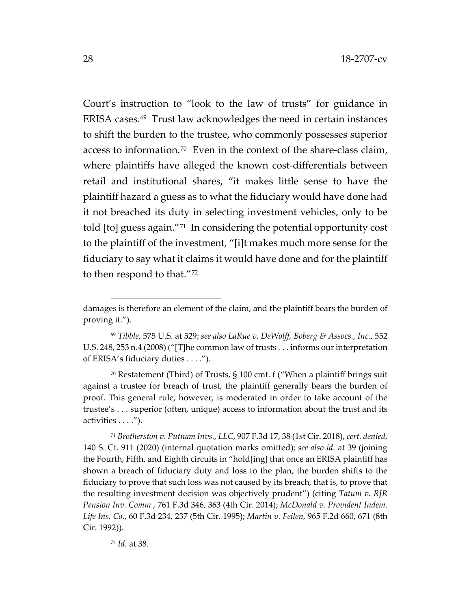Court's instruction to "look to the law of trusts" for guidance in ERISA cases.[69](#page-27-0) Trust law acknowledges the need in certain instances to shift the burden to the trustee, who commonly possesses superior access to information.[70](#page-27-1) Even in the context of the share-class claim, where plaintiffs have alleged the known cost-differentials between retail and institutional shares, "it makes little sense to have the plaintiff hazard a guess as to what the fiduciary would have done had it not breached its duty in selecting investment vehicles, only to be told [to] guess again."[71](#page-27-2) In considering the potential opportunity cost to the plaintiff of the investment, "[i]t makes much more sense for the fiduciary to say what it claims it would have done and for the plaintiff to then respond to that."[72](#page-27-3)

<span id="page-27-1"></span><sup>70</sup> Restatement (Third) of Trusts, § 100 cmt. f ("When a plaintiff brings suit against a trustee for breach of trust, the plaintiff generally bears the burden of proof. This general rule, however, is moderated in order to take account of the trustee's . . . superior (often, unique) access to information about the trust and its activities . . . .").

<span id="page-27-3"></span><span id="page-27-2"></span><sup>71</sup> *Brotherston v. Putnam Invs., LLC*, 907 F.3d 17, 38 (1st Cir. 2018), *cert. denied*, 140 S. Ct. 911 (2020) (internal quotation marks omitted); *see also id.* at 39 (joining the Fourth, Fifth, and Eighth circuits in "hold[ing] that once an ERISA plaintiff has shown a breach of fiduciary duty and loss to the plan, the burden shifts to the fiduciary to prove that such loss was not caused by its breach, that is, to prove that the resulting investment decision was objectively prudent") (citing *Tatum v. RJR Pension Inv. Comm.*, 761 F.3d 346, 363 (4th Cir. 2014); *McDonald v. Provident Indem. Life Ins. Co.*, 60 F.3d 234, 237 (5th Cir. 1995); *Martin v. Feilen*, 965 F.2d 660, 671 (8th Cir. 1992)).

damages is therefore an element of the claim, and the plaintiff bears the burden of proving it.").

<span id="page-27-0"></span><sup>69</sup> *Tibble*, 575 U.S. at 529; *see also LaRue v. DeWolff, Boberg & Assocs., Inc.*, 552 U.S. 248, 253 n.4 (2008) ("[T]he common law of trusts . . . informs our interpretation of ERISA's fiduciary duties . . . .").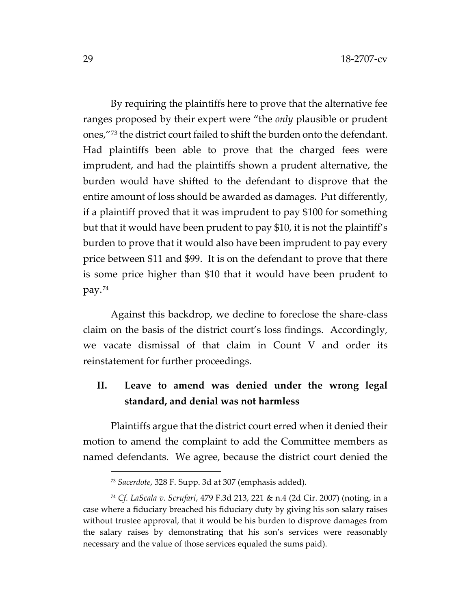By requiring the plaintiffs here to prove that the alternative fee ranges proposed by their expert were "the *only* plausible or prudent ones,"[73](#page-28-0) the district court failed to shift the burden onto the defendant. Had plaintiffs been able to prove that the charged fees were imprudent, and had the plaintiffs shown a prudent alternative, the burden would have shifted to the defendant to disprove that the entire amount of loss should be awarded as damages. Put differently, if a plaintiff proved that it was imprudent to pay \$100 for something but that it would have been prudent to pay \$10, it is not the plaintiff's burden to prove that it would also have been imprudent to pay every price between \$11 and \$99. It is on the defendant to prove that there is some price higher than \$10 that it would have been prudent to pay.[74](#page-28-1)

Against this backdrop, we decline to foreclose the share-class claim on the basis of the district court's loss findings. Accordingly, we vacate dismissal of that claim in Count V and order its reinstatement for further proceedings.

# **II. Leave to amend was denied under the wrong legal standard, and denial was not harmless**

Plaintiffs argue that the district court erred when it denied their motion to amend the complaint to add the Committee members as named defendants. We agree, because the district court denied the

<sup>73</sup> *Sacerdote*, 328 F. Supp. 3d at 307 (emphasis added).

<span id="page-28-1"></span><span id="page-28-0"></span><sup>74</sup> *Cf. LaScala v. Scrufari*, 479 F.3d 213, 221 & n.4 (2d Cir. 2007) (noting, in a case where a fiduciary breached his fiduciary duty by giving his son salary raises without trustee approval, that it would be his burden to disprove damages from the salary raises by demonstrating that his son's services were reasonably necessary and the value of those services equaled the sums paid).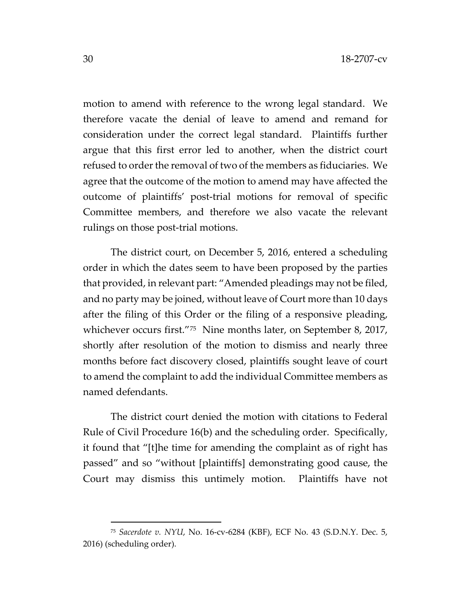motion to amend with reference to the wrong legal standard. We therefore vacate the denial of leave to amend and remand for consideration under the correct legal standard. Plaintiffs further argue that this first error led to another, when the district court refused to order the removal of two of the members as fiduciaries. We agree that the outcome of the motion to amend may have affected the outcome of plaintiffs' post-trial motions for removal of specific Committee members, and therefore we also vacate the relevant rulings on those post-trial motions.

The district court, on December 5, 2016, entered a scheduling order in which the dates seem to have been proposed by the parties that provided, in relevant part: "Amended pleadings may not be filed, and no party may be joined, without leave of Court more than 10 days after the filing of this Order or the filing of a responsive pleading, whichever occurs first."<sup>[75](#page-29-0)</sup> Nine months later, on September 8, 2017, shortly after resolution of the motion to dismiss and nearly three months before fact discovery closed, plaintiffs sought leave of court to amend the complaint to add the individual Committee members as named defendants.

The district court denied the motion with citations to Federal Rule of Civil Procedure 16(b) and the scheduling order. Specifically, it found that "[t]he time for amending the complaint as of right has passed" and so "without [plaintiffs] demonstrating good cause, the Court may dismiss this untimely motion. Plaintiffs have not

<span id="page-29-0"></span><sup>75</sup> *Sacerdote v. NYU*, No. 16-cv-6284 (KBF), ECF No. 43 (S.D.N.Y. Dec. 5, 2016) (scheduling order).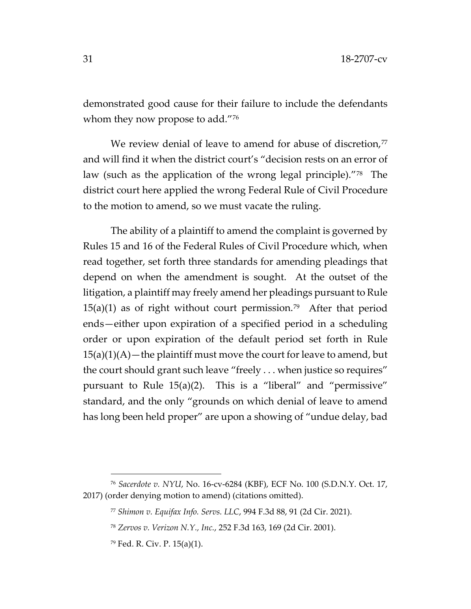demonstrated good cause for their failure to include the defendants whom they now propose to add."<sup>[76](#page-30-0)</sup>

We review denial of leave to amend for abuse of discretion, $77$ and will find it when the district court's "decision rests on an error of law (such as the application of the wrong legal principle)."[78](#page-30-2) The district court here applied the wrong Federal Rule of Civil Procedure to the motion to amend, so we must vacate the ruling.

The ability of a plaintiff to amend the complaint is governed by Rules 15 and 16 of the Federal Rules of Civil Procedure which, when read together, set forth three standards for amending pleadings that depend on when the amendment is sought. At the outset of the litigation, a plaintiff may freely amend her pleadings pursuant to Rule  $15(a)(1)$  as of right without court permission.<sup>79</sup> After that period ends—either upon expiration of a specified period in a scheduling order or upon expiration of the default period set forth in Rule  $15(a)(1)(A)$  – the plaintiff must move the court for leave to amend, but the court should grant such leave "freely . . . when justice so requires" pursuant to Rule 15(a)(2). This is a "liberal" and "permissive" standard, and the only "grounds on which denial of leave to amend has long been held proper" are upon a showing of "undue delay, bad

<span id="page-30-3"></span><span id="page-30-2"></span><span id="page-30-1"></span><span id="page-30-0"></span><sup>76</sup> *Sacerdote v. NYU*, No. 16-cv-6284 (KBF), ECF No. 100 (S.D.N.Y. Oct. 17, 2017) (order denying motion to amend) (citations omitted).

<sup>77</sup> *Shimon v. Equifax Info. Servs. LLC*, 994 F.3d 88, 91 (2d Cir. 2021).

<sup>78</sup> *Zervos v. Verizon N.Y., Inc.*, 252 F.3d 163, 169 (2d Cir. 2001).

<sup>79</sup> Fed. R. Civ. P. 15(a)(1).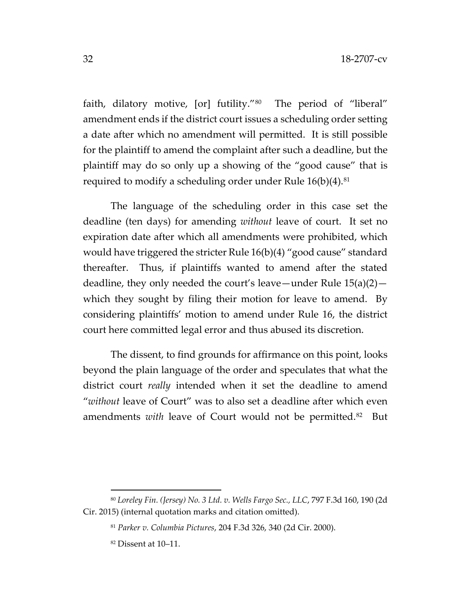faith, dilatory motive, [or] futility."[80](#page-31-0) The period of "liberal" amendment ends if the district court issues a scheduling order setting a date after which no amendment will permitted. It is still possible for the plaintiff to amend the complaint after such a deadline, but the plaintiff may do so only up a showing of the "good cause" that is required to modify a scheduling order under Rule  $16(b)(4)$ .<sup>[81](#page-31-1)</sup>

The language of the scheduling order in this case set the deadline (ten days) for amending *without* leave of court. It set no expiration date after which all amendments were prohibited, which would have triggered the stricter Rule 16(b)(4) "good cause" standard thereafter. Thus, if plaintiffs wanted to amend after the stated deadline, they only needed the court's leave—under Rule  $15(a)(2)$  which they sought by filing their motion for leave to amend. By considering plaintiffs' motion to amend under Rule 16, the district court here committed legal error and thus abused its discretion.

The dissent, to find grounds for affirmance on this point, looks beyond the plain language of the order and speculates that what the district court *really* intended when it set the deadline to amend "*without* leave of Court" was to also set a deadline after which even amendments *with* leave of Court would not be permitted.<sup>[82](#page-31-2)</sup> But

<span id="page-31-2"></span><span id="page-31-1"></span><span id="page-31-0"></span><sup>80</sup> *Loreley Fin. (Jersey) No. 3 Ltd. v. Wells Fargo Sec., LLC*, 797 F.3d 160, 190 (2d Cir. 2015) (internal quotation marks and citation omitted).

<sup>81</sup> *Parker v. Columbia Pictures*, 204 F.3d 326, 340 (2d Cir. 2000).

<sup>82</sup> Dissent at 10–11.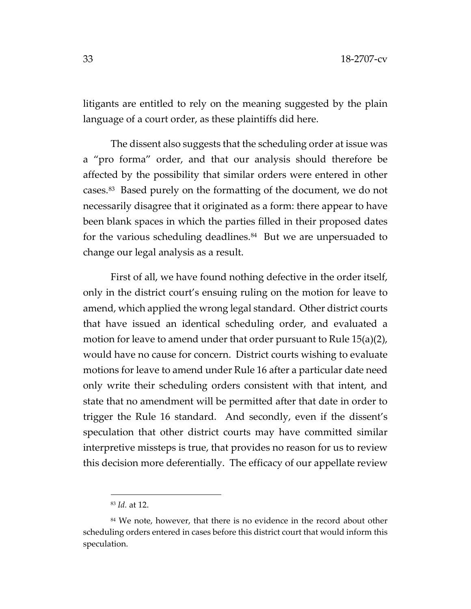litigants are entitled to rely on the meaning suggested by the plain language of a court order, as these plaintiffs did here.

The dissent also suggests that the scheduling order at issue was a "pro forma" order, and that our analysis should therefore be affected by the possibility that similar orders were entered in other cases.[83](#page-32-0) Based purely on the formatting of the document, we do not necessarily disagree that it originated as a form: there appear to have been blank spaces in which the parties filled in their proposed dates for the various scheduling deadlines.<sup>[84](#page-32-1)</sup> But we are unpersuaded to change our legal analysis as a result.

First of all, we have found nothing defective in the order itself, only in the district court's ensuing ruling on the motion for leave to amend, which applied the wrong legal standard. Other district courts that have issued an identical scheduling order, and evaluated a motion for leave to amend under that order pursuant to Rule 15(a)(2), would have no cause for concern. District courts wishing to evaluate motions for leave to amend under Rule 16 after a particular date need only write their scheduling orders consistent with that intent, and state that no amendment will be permitted after that date in order to trigger the Rule 16 standard. And secondly, even if the dissent's speculation that other district courts may have committed similar interpretive missteps is true, that provides no reason for us to review this decision more deferentially. The efficacy of our appellate review

<sup>83</sup> *Id.* at 12.

<span id="page-32-1"></span><span id="page-32-0"></span><sup>&</sup>lt;sup>84</sup> We note, however, that there is no evidence in the record about other scheduling orders entered in cases before this district court that would inform this speculation.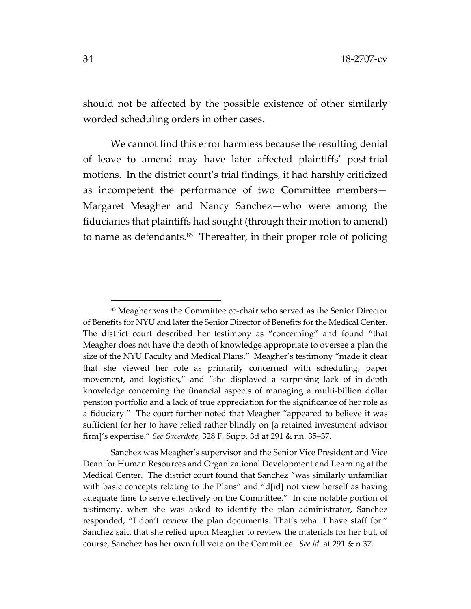should not be affected by the possible existence of other similarly worded scheduling orders in other cases.

We cannot find this error harmless because the resulting denial of leave to amend may have later affected plaintiffs' post-trial motions. In the district court's trial findings, it had harshly criticized as incompetent the performance of two Committee members— Margaret Meagher and Nancy Sanchez—who were among the fiduciaries that plaintiffs had sought (through their motion to amend) to name as defendants.<sup>[85](#page-33-0)</sup> Thereafter, in their proper role of policing

<span id="page-33-0"></span><sup>85</sup> Meagher was the Committee co-chair who served as the Senior Director of Benefits for NYU and later the Senior Director of Benefits for the Medical Center. The district court described her testimony as "concerning" and found "that Meagher does not have the depth of knowledge appropriate to oversee a plan the size of the NYU Faculty and Medical Plans." Meagher's testimony "made it clear that she viewed her role as primarily concerned with scheduling, paper movement, and logistics," and "she displayed a surprising lack of in-depth knowledge concerning the financial aspects of managing a multi-billion dollar pension portfolio and a lack of true appreciation for the significance of her role as a fiduciary." The court further noted that Meagher "appeared to believe it was sufficient for her to have relied rather blindly on [a retained investment advisor firm]'s expertise." *See Sacerdote*, 328 F. Supp. 3d at 291 & nn. 35–37.

Sanchez was Meagher's supervisor and the Senior Vice President and Vice Dean for Human Resources and Organizational Development and Learning at the Medical Center. The district court found that Sanchez "was similarly unfamiliar with basic concepts relating to the Plans" and "d[id] not view herself as having adequate time to serve effectively on the Committee." In one notable portion of testimony, when she was asked to identify the plan administrator, Sanchez responded, "I don't review the plan documents. That's what I have staff for." Sanchez said that she relied upon Meagher to review the materials for her but, of course, Sanchez has her own full vote on the Committee. *See id.* at 291 & n.37.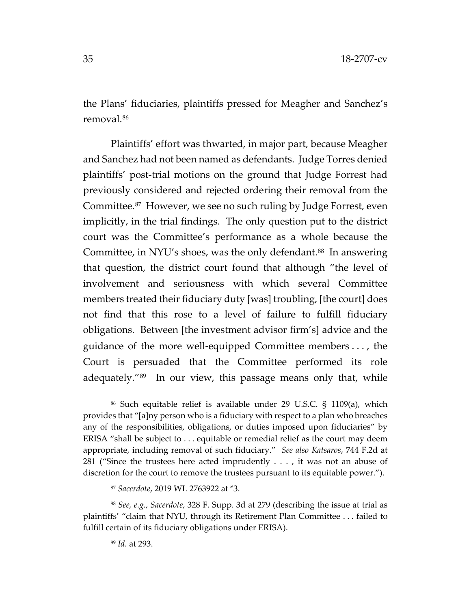the Plans' fiduciaries, plaintiffs pressed for Meagher and Sanchez's removal.[86](#page-34-0)

Plaintiffs' effort was thwarted, in major part, because Meagher and Sanchez had not been named as defendants. Judge Torres denied plaintiffs' post-trial motions on the ground that Judge Forrest had previously considered and rejected ordering their removal from the Committee.[87](#page-34-1) However, we see no such ruling by Judge Forrest, even implicitly, in the trial findings. The only question put to the district court was the Committee's performance as a whole because the Committee, in NYU's shoes, was the only defendant.<sup>[88](#page-34-2)</sup> In answering that question, the district court found that although "the level of involvement and seriousness with which several Committee members treated their fiduciary duty [was] troubling, [the court] does not find that this rose to a level of failure to fulfill fiduciary obligations. Between [the investment advisor firm's] advice and the guidance of the more well-equipped Committee members . . . , the Court is persuaded that the Committee performed its role adequately."[89](#page-34-3) In our view, this passage means only that, while

<span id="page-34-0"></span><sup>86</sup> Such equitable relief is available under 29 U.S.C. § 1109(a), which provides that "[a]ny person who is a fiduciary with respect to a plan who breaches any of the responsibilities, obligations, or duties imposed upon fiduciaries" by ERISA "shall be subject to . . . equitable or remedial relief as the court may deem appropriate, including removal of such fiduciary." *See also Katsaros*, 744 F.2d at 281 ("Since the trustees here acted imprudently . . . , it was not an abuse of discretion for the court to remove the trustees pursuant to its equitable power.").

<sup>87</sup> *Sacerdote*, 2019 WL 2763922 at \*3.

<span id="page-34-3"></span><span id="page-34-2"></span><span id="page-34-1"></span><sup>88</sup> *See, e.g.*, *Sacerdote*, 328 F. Supp. 3d at 279 (describing the issue at trial as plaintiffs' "claim that NYU, through its Retirement Plan Committee . . . failed to fulfill certain of its fiduciary obligations under ERISA).

<sup>89</sup> *Id.* at 293.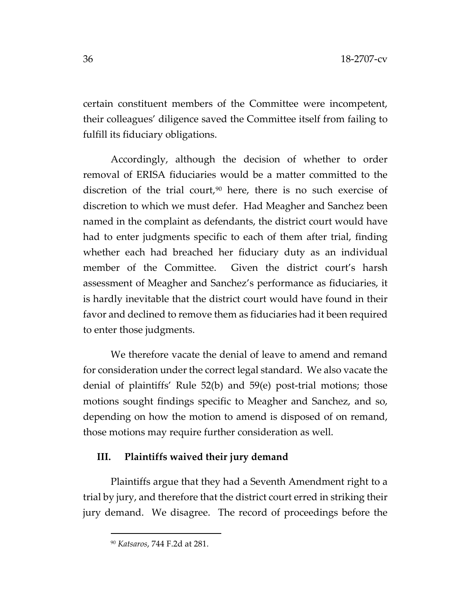certain constituent members of the Committee were incompetent, their colleagues' diligence saved the Committee itself from failing to fulfill its fiduciary obligations.

Accordingly, although the decision of whether to order removal of ERISA fiduciaries would be a matter committed to the discretion of the trial court,<sup>[90](#page-35-0)</sup> here, there is no such exercise of discretion to which we must defer. Had Meagher and Sanchez been named in the complaint as defendants, the district court would have had to enter judgments specific to each of them after trial, finding whether each had breached her fiduciary duty as an individual member of the Committee. Given the district court's harsh assessment of Meagher and Sanchez's performance as fiduciaries, it is hardly inevitable that the district court would have found in their favor and declined to remove them as fiduciaries had it been required to enter those judgments.

We therefore vacate the denial of leave to amend and remand for consideration under the correct legal standard. We also vacate the denial of plaintiffs' Rule 52(b) and 59(e) post-trial motions; those motions sought findings specific to Meagher and Sanchez, and so, depending on how the motion to amend is disposed of on remand, those motions may require further consideration as well.

# **III. Plaintiffs waived their jury demand**

<span id="page-35-0"></span>Plaintiffs argue that they had a Seventh Amendment right to a trial by jury, and therefore that the district court erred in striking their jury demand. We disagree. The record of proceedings before the

<sup>90</sup> *Katsaros*, 744 F.2d at 281.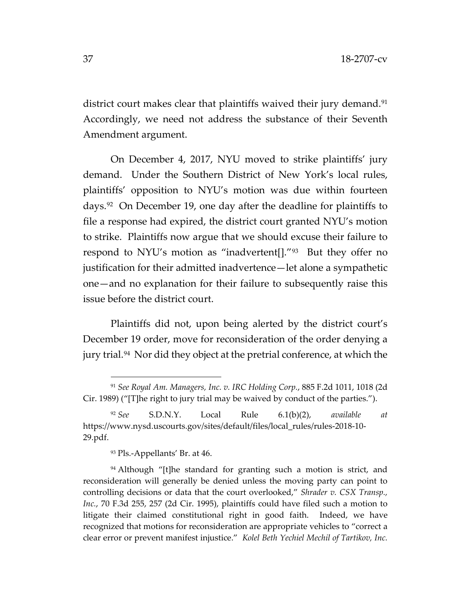district court makes clear that plaintiffs waived their jury demand.<sup>[91](#page-36-0)</sup> Accordingly, we need not address the substance of their Seventh Amendment argument.

On December 4, 2017, NYU moved to strike plaintiffs' jury demand. Under the Southern District of New York's local rules, plaintiffs' opposition to NYU's motion was due within fourteen days.[92](#page-36-1) On December 19, one day after the deadline for plaintiffs to file a response had expired, the district court granted NYU's motion to strike. Plaintiffs now argue that we should excuse their failure to respond to NYU's motion as "inadvertent[]."[93](#page-36-2) But they offer no justification for their admitted inadvertence—let alone a sympathetic one—and no explanation for their failure to subsequently raise this issue before the district court.

Plaintiffs did not, upon being alerted by the district court's December 19 order, move for reconsideration of the order denying a jury trial.[94](#page-36-3) Nor did they object at the pretrial conference, at which the

<sup>93</sup> Pls.-Appellants' Br. at 46.

<span id="page-36-0"></span><sup>91</sup> *See Royal Am. Managers, Inc. v. IRC Holding Corp.*, 885 F.2d 1011, 1018 (2d Cir. 1989) ("[T]he right to jury trial may be waived by conduct of the parties.").

<span id="page-36-1"></span><sup>92</sup> *See* S.D.N.Y. Local Rule 6.1(b)(2), *available at*  https://www.nysd.uscourts.gov/sites/default/files/local\_rules/rules-2018-10- 29.pdf.

<span id="page-36-3"></span><span id="page-36-2"></span><sup>&</sup>lt;sup>94</sup> Although "[t]he standard for granting such a motion is strict, and reconsideration will generally be denied unless the moving party can point to controlling decisions or data that the court overlooked," *Shrader v. CSX Transp., Inc.*, 70 F.3d 255, 257 (2d Cir. 1995), plaintiffs could have filed such a motion to litigate their claimed constitutional right in good faith. Indeed, we have recognized that motions for reconsideration are appropriate vehicles to "correct a clear error or prevent manifest injustice." *Kolel Beth Yechiel Mechil of Tartikov, Inc.*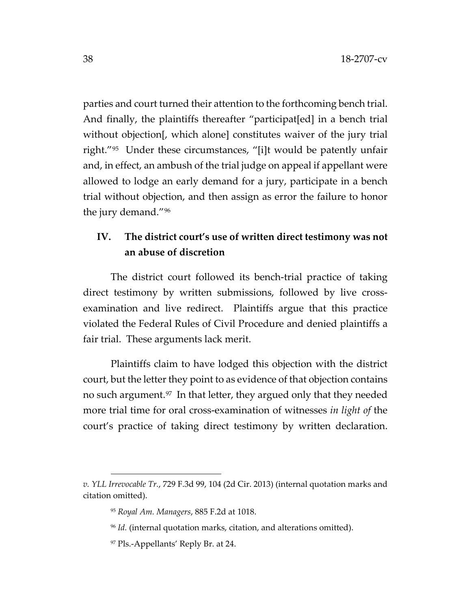parties and court turned their attention to the forthcoming bench trial. And finally, the plaintiffs thereafter "participat[ed] in a bench trial without objection[, which alone] constitutes waiver of the jury trial right."[95](#page-37-0) Under these circumstances, "[i]t would be patently unfair and, in effect, an ambush of the trial judge on appeal if appellant were allowed to lodge an early demand for a jury, participate in a bench trial without objection, and then assign as error the failure to honor the jury demand."[96](#page-37-1)

# **IV. The district court's use of written direct testimony was not an abuse of discretion**

The district court followed its bench-trial practice of taking direct testimony by written submissions, followed by live crossexamination and live redirect. Plaintiffs argue that this practice violated the Federal Rules of Civil Procedure and denied plaintiffs a fair trial. These arguments lack merit.

Plaintiffs claim to have lodged this objection with the district court, but the letter they point to as evidence of that objection contains no such argument.[97](#page-37-2) In that letter, they argued only that they needed more trial time for oral cross-examination of witnesses *in light of* the court's practice of taking direct testimony by written declaration.

<span id="page-37-2"></span><span id="page-37-1"></span><span id="page-37-0"></span>*v. YLL Irrevocable Tr.*, 729 F.3d 99, 104 (2d Cir. 2013) (internal quotation marks and citation omitted).

<sup>95</sup> *Royal Am. Managers*, 885 F.2d at 1018.

<sup>96</sup> *Id.* (internal quotation marks, citation, and alterations omitted).

<sup>97</sup> Pls.-Appellants' Reply Br. at 24.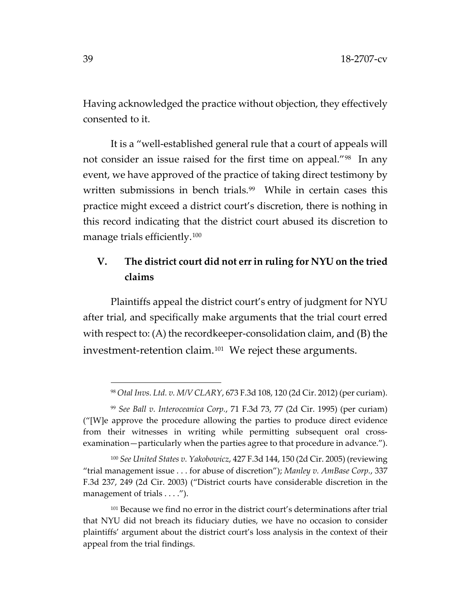Having acknowledged the practice without objection, they effectively consented to it.

It is a "well-established general rule that a court of appeals will not consider an issue raised for the first time on appeal."[98](#page-38-0) In any event, we have approved of the practice of taking direct testimony by written submissions in bench trials.<sup>99</sup> While in certain cases this practice might exceed a district court's discretion, there is nothing in this record indicating that the district court abused its discretion to manage trials efficiently.[100](#page-38-2)

# **V. The district court did not err in ruling for NYU on the tried claims**

Plaintiffs appeal the district court's entry of judgment for NYU after trial, and specifically make arguments that the trial court erred with respect to: (A) the recordkeeper-consolidation claim, and (B) the investment-retention claim.<sup>[101](#page-38-3)</sup> We reject these arguments.

<sup>98</sup> *Otal Invs. Ltd. v. M/V CLARY*, 673 F.3d 108, 120 (2d Cir. 2012) (per curiam).

<span id="page-38-1"></span><span id="page-38-0"></span><sup>99</sup> *See Ball v. Interoceanica Corp.*, 71 F.3d 73, 77 (2d Cir. 1995) (per curiam) ("[W]e approve the procedure allowing the parties to produce direct evidence from their witnesses in writing while permitting subsequent oral crossexamination—particularly when the parties agree to that procedure in advance.").

<span id="page-38-2"></span><sup>100</sup> *See United States v. Yakobowicz*, 427 F.3d 144, 150 (2d Cir. 2005) (reviewing "trial management issue . . . for abuse of discretion"); *Manley v. AmBase Corp.*, 337 F.3d 237, 249 (2d Cir. 2003) ("District courts have considerable discretion in the management of trials . . . .").

<span id="page-38-3"></span><sup>101</sup> Because we find no error in the district court's determinations after trial that NYU did not breach its fiduciary duties, we have no occasion to consider plaintiffs' argument about the district court's loss analysis in the context of their appeal from the trial findings.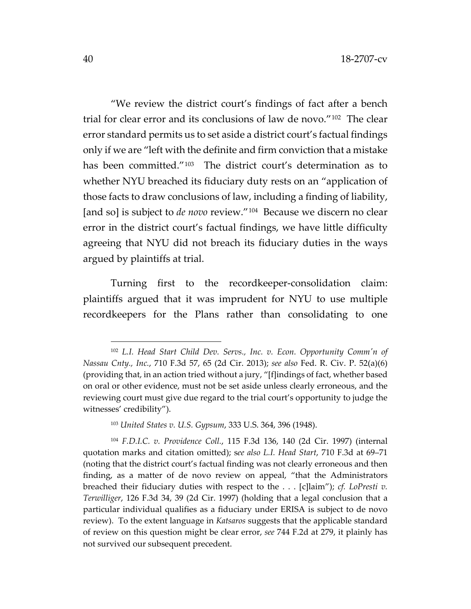"We review the district court's findings of fact after a bench trial for clear error and its conclusions of law de novo."[102](#page-39-0) The clear error standard permits us to set aside a district court's factual findings only if we are "left with the definite and firm conviction that a mistake has been committed."<sup>[103](#page-39-1)</sup> The district court's determination as to whether NYU breached its fiduciary duty rests on an "application of those facts to draw conclusions of law, including a finding of liability, [and so] is subject to *de novo* review."<sup>[104](#page-39-2)</sup> Because we discern no clear error in the district court's factual findings, we have little difficulty agreeing that NYU did not breach its fiduciary duties in the ways argued by plaintiffs at trial.

Turning first to the recordkeeper-consolidation claim: plaintiffs argued that it was imprudent for NYU to use multiple recordkeepers for the Plans rather than consolidating to one

<span id="page-39-0"></span><sup>102</sup> *L.I. Head Start Child Dev. Servs., Inc. v. Econ. Opportunity Comm'n of Nassau Cnty., Inc.*, 710 F.3d 57, 65 (2d Cir. 2013); *see also* Fed. R. Civ. P. 52(a)(6) (providing that, in an action tried without a jury, "[f]indings of fact, whether based on oral or other evidence, must not be set aside unless clearly erroneous, and the reviewing court must give due regard to the trial court's opportunity to judge the witnesses' credibility").

<sup>103</sup> *United States v. U.S. Gypsum*, 333 U.S. 364, 396 (1948).

<span id="page-39-2"></span><span id="page-39-1"></span><sup>104</sup> *F.D.I.C. v. Providence Coll.*, 115 F.3d 136, 140 (2d Cir. 1997) (internal quotation marks and citation omitted); s*ee also L.I. Head Start*, 710 F.3d at 69–71 (noting that the district court's factual finding was not clearly erroneous and then finding, as a matter of de novo review on appeal, "that the Administrators breached their fiduciary duties with respect to the . . . [c]laim"); *cf. LoPresti v. Terwilliger*, 126 F.3d 34, 39 (2d Cir. 1997) (holding that a legal conclusion that a particular individual qualifies as a fiduciary under ERISA is subject to de novo review). To the extent language in *Katsaros* suggests that the applicable standard of review on this question might be clear error, *see* 744 F.2d at 279, it plainly has not survived our subsequent precedent.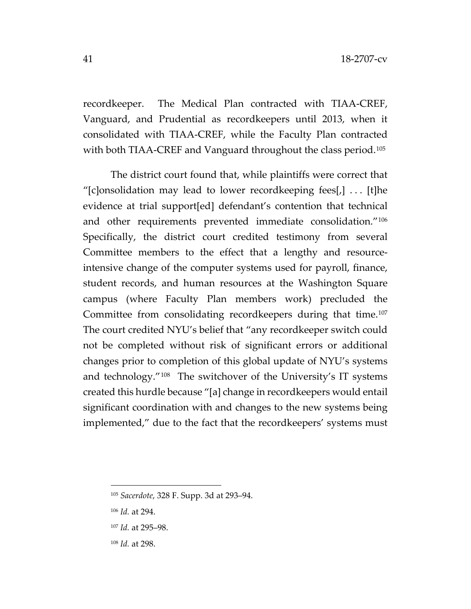recordkeeper. The Medical Plan contracted with TIAA-CREF, Vanguard, and Prudential as recordkeepers until 2013, when it consolidated with TIAA-CREF, while the Faculty Plan contracted with both TIAA-CREF and Vanguard throughout the class period.<sup>[105](#page-40-0)</sup>

The district court found that, while plaintiffs were correct that "[c]onsolidation may lead to lower recordkeeping fees[,]  $\ldots$  [t]he evidence at trial support[ed] defendant's contention that technical and other requirements prevented immediate consolidation."[106](#page-40-1) Specifically, the district court credited testimony from several Committee members to the effect that a lengthy and resourceintensive change of the computer systems used for payroll, finance, student records, and human resources at the Washington Square campus (where Faculty Plan members work) precluded the Committee from consolidating recordkeepers during that time.<sup>[107](#page-40-2)</sup> The court credited NYU's belief that "any recordkeeper switch could not be completed without risk of significant errors or additional changes prior to completion of this global update of NYU's systems and technology."[108](#page-40-3) The switchover of the University's IT systems created this hurdle because "[a] change in recordkeepers would entail significant coordination with and changes to the new systems being implemented," due to the fact that the recordkeepers' systems must

<span id="page-40-0"></span><sup>105</sup> *Sacerdote*, 328 F. Supp. 3d at 293–94.

<span id="page-40-1"></span><sup>106</sup> *Id.* at 294.

<span id="page-40-3"></span><span id="page-40-2"></span><sup>107</sup> *Id.* at 295–98.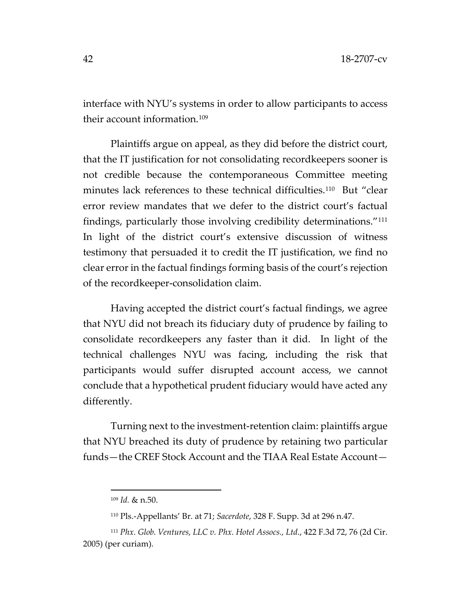interface with NYU's systems in order to allow participants to access their account information.[109](#page-41-0)

Plaintiffs argue on appeal, as they did before the district court, that the IT justification for not consolidating recordkeepers sooner is not credible because the contemporaneous Committee meeting minutes lack references to these technical difficulties.<sup>[110](#page-41-1)</sup> But "clear error review mandates that we defer to the district court's factual findings, particularly those involving credibility determinations."[111](#page-41-2) In light of the district court's extensive discussion of witness testimony that persuaded it to credit the IT justification, we find no clear error in the factual findings forming basis of the court's rejection of the recordkeeper-consolidation claim.

Having accepted the district court's factual findings, we agree that NYU did not breach its fiduciary duty of prudence by failing to consolidate recordkeepers any faster than it did. In light of the technical challenges NYU was facing, including the risk that participants would suffer disrupted account access, we cannot conclude that a hypothetical prudent fiduciary would have acted any differently.

Turning next to the investment-retention claim: plaintiffs argue that NYU breached its duty of prudence by retaining two particular funds—the CREF Stock Account and the TIAA Real Estate Account—

<sup>109</sup> *Id.* & n.50.

<sup>110</sup> Pls.-Appellants' Br. at 71; *Sacerdote*, 328 F. Supp. 3d at 296 n.47.

<span id="page-41-2"></span><span id="page-41-1"></span><span id="page-41-0"></span><sup>111</sup> *Phx. Glob. Ventures, LLC v. Phx. Hotel Assocs., Ltd.*, 422 F.3d 72, 76 (2d Cir. 2005) (per curiam).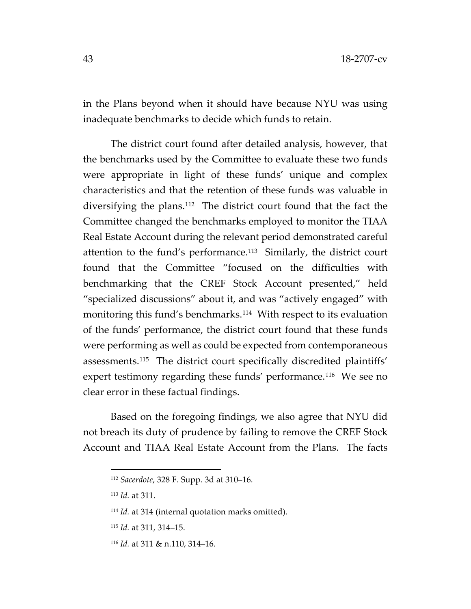in the Plans beyond when it should have because NYU was using inadequate benchmarks to decide which funds to retain.

The district court found after detailed analysis, however, that the benchmarks used by the Committee to evaluate these two funds were appropriate in light of these funds' unique and complex characteristics and that the retention of these funds was valuable in diversifying the plans.[112](#page-42-0) The district court found that the fact the Committee changed the benchmarks employed to monitor the TIAA Real Estate Account during the relevant period demonstrated careful attention to the fund's performance.<sup>113</sup> Similarly, the district court found that the Committee "focused on the difficulties with benchmarking that the CREF Stock Account presented," held "specialized discussions" about it, and was "actively engaged" with monitoring this fund's benchmarks.<sup>[114](#page-42-2)</sup> With respect to its evaluation of the funds' performance, the district court found that these funds were performing as well as could be expected from contemporaneous assessments.[115](#page-42-3) The district court specifically discredited plaintiffs' expert testimony regarding these funds' performance.<sup>[116](#page-42-4)</sup> We see no clear error in these factual findings.

<span id="page-42-0"></span>Based on the foregoing findings, we also agree that NYU did not breach its duty of prudence by failing to remove the CREF Stock Account and TIAA Real Estate Account from the Plans. The facts

<sup>112</sup> *Sacerdote*, 328 F. Supp. 3d at 310–16.

<span id="page-42-2"></span><span id="page-42-1"></span><sup>113</sup> *Id.* at 311.

<sup>114</sup> *Id.* at 314 (internal quotation marks omitted).

<span id="page-42-3"></span><sup>115</sup> *Id.* at 311, 314–15.

<span id="page-42-4"></span><sup>116</sup> *Id.* at 311 & n.110, 314–16.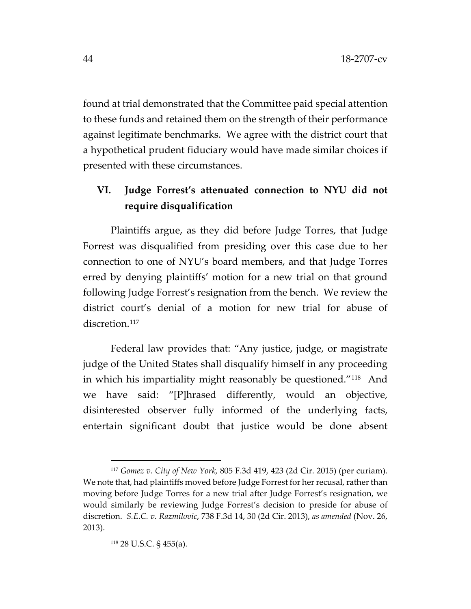found at trial demonstrated that the Committee paid special attention to these funds and retained them on the strength of their performance against legitimate benchmarks. We agree with the district court that a hypothetical prudent fiduciary would have made similar choices if presented with these circumstances.

# **VI. Judge Forrest's attenuated connection to NYU did not require disqualification**

Plaintiffs argue, as they did before Judge Torres, that Judge Forrest was disqualified from presiding over this case due to her connection to one of NYU's board members, and that Judge Torres erred by denying plaintiffs' motion for a new trial on that ground following Judge Forrest's resignation from the bench. We review the district court's denial of a motion for new trial for abuse of discretion.<sup>117</sup>

Federal law provides that: "Any justice, judge, or magistrate judge of the United States shall disqualify himself in any proceeding in which his impartiality might reasonably be questioned."[118](#page-43-1) And we have said: "[P]hrased differently, would an objective, disinterested observer fully informed of the underlying facts, entertain significant doubt that justice would be done absent

<span id="page-43-1"></span><span id="page-43-0"></span><sup>117</sup> *Gomez v. City of New York*, 805 F.3d 419, 423 (2d Cir. 2015) (per curiam). We note that, had plaintiffs moved before Judge Forrest for her recusal, rather than moving before Judge Torres for a new trial after Judge Forrest's resignation, we would similarly be reviewing Judge Forrest's decision to preside for abuse of discretion. *S.E.C. v. Razmilovic*, 738 F.3d 14, 30 (2d Cir. 2013), *as amended* (Nov. 26, 2013).

<sup>118</sup> 28 U.S.C. § 455(a).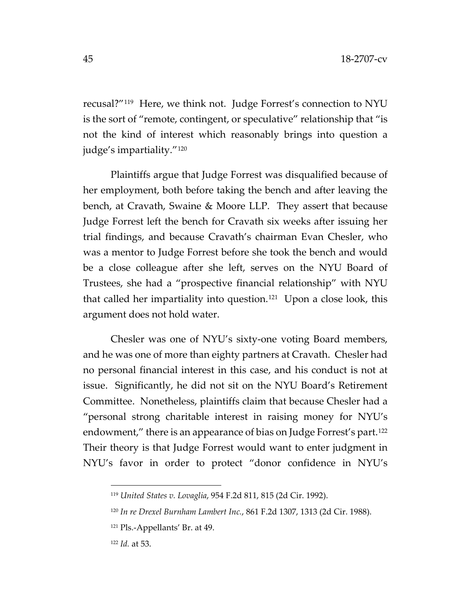recusal?"[119](#page-44-0) Here, we think not. Judge Forrest's connection to NYU is the sort of "remote, contingent, or speculative" relationship that "is not the kind of interest which reasonably brings into question a judge's impartiality."[120](#page-44-1)

Plaintiffs argue that Judge Forrest was disqualified because of her employment, both before taking the bench and after leaving the bench, at Cravath, Swaine & Moore LLP. They assert that because Judge Forrest left the bench for Cravath six weeks after issuing her trial findings, and because Cravath's chairman Evan Chesler, who was a mentor to Judge Forrest before she took the bench and would be a close colleague after she left, serves on the NYU Board of Trustees, she had a "prospective financial relationship" with NYU that called her impartiality into question.[121](#page-44-2) Upon a close look, this argument does not hold water.

Chesler was one of NYU's sixty-one voting Board members, and he was one of more than eighty partners at Cravath. Chesler had no personal financial interest in this case, and his conduct is not at issue. Significantly, he did not sit on the NYU Board's Retirement Committee. Nonetheless, plaintiffs claim that because Chesler had a "personal strong charitable interest in raising money for NYU's endowment," there is an appearance of bias on Judge Forrest's part.<sup>[122](#page-44-3)</sup> Their theory is that Judge Forrest would want to enter judgment in NYU's favor in order to protect "donor confidence in NYU's

<span id="page-44-1"></span><span id="page-44-0"></span><sup>119</sup> *United States v. Lovaglia*, 954 F.2d 811, 815 (2d Cir. 1992).

<sup>120</sup> *In re Drexel Burnham Lambert Inc.*, 861 F.2d 1307, 1313 (2d Cir. 1988).

<span id="page-44-3"></span><span id="page-44-2"></span><sup>121</sup> Pls.-Appellants' Br. at 49.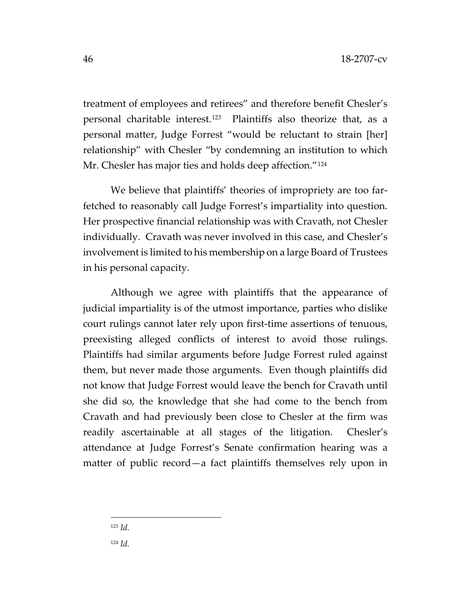treatment of employees and retirees" and therefore benefit Chesler's personal charitable interest.[123](#page-45-0) Plaintiffs also theorize that, as a personal matter, Judge Forrest "would be reluctant to strain [her] relationship" with Chesler "by condemning an institution to which Mr. Chesler has major ties and holds deep affection."<sup>[124](#page-45-1)</sup>

We believe that plaintiffs' theories of impropriety are too farfetched to reasonably call Judge Forrest's impartiality into question. Her prospective financial relationship was with Cravath, not Chesler individually. Cravath was never involved in this case, and Chesler's involvement is limited to his membership on a large Board of Trustees in his personal capacity.

Although we agree with plaintiffs that the appearance of judicial impartiality is of the utmost importance, parties who dislike court rulings cannot later rely upon first-time assertions of tenuous, preexisting alleged conflicts of interest to avoid those rulings. Plaintiffs had similar arguments before Judge Forrest ruled against them, but never made those arguments. Even though plaintiffs did not know that Judge Forrest would leave the bench for Cravath until she did so, the knowledge that she had come to the bench from Cravath and had previously been close to Chesler at the firm was readily ascertainable at all stages of the litigation. Chesler's attendance at Judge Forrest's Senate confirmation hearing was a matter of public record—a fact plaintiffs themselves rely upon in

<span id="page-45-0"></span><sup>123</sup> *Id.*

<span id="page-45-1"></span><sup>124</sup> *Id.*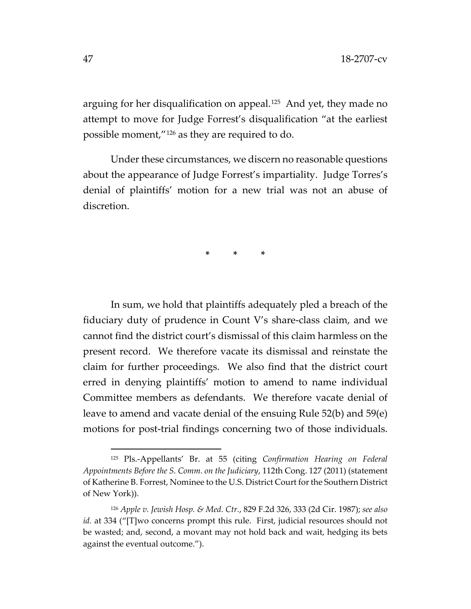arguing for her disqualification on appeal.<sup>125</sup> And yet, they made no attempt to move for Judge Forrest's disqualification "at the earliest possible moment,["126](#page-46-1) as they are required to do.

Under these circumstances, we discern no reasonable questions about the appearance of Judge Forrest's impartiality. Judge Torres's denial of plaintiffs' motion for a new trial was not an abuse of discretion.

**\* \* \***

In sum, we hold that plaintiffs adequately pled a breach of the fiduciary duty of prudence in Count V's share-class claim, and we cannot find the district court's dismissal of this claim harmless on the present record. We therefore vacate its dismissal and reinstate the claim for further proceedings. We also find that the district court erred in denying plaintiffs' motion to amend to name individual Committee members as defendants. We therefore vacate denial of leave to amend and vacate denial of the ensuing Rule 52(b) and 59(e) motions for post-trial findings concerning two of those individuals.

<span id="page-46-0"></span><sup>125</sup> Pls.-Appellants' Br. at 55 (citing *Confirmation Hearing on Federal Appointments Before the S. Comm. on the Judiciary*, 112th Cong. 127 (2011) (statement of Katherine B. Forrest, Nominee to the U.S. District Court for the Southern District of New York)).

<span id="page-46-1"></span><sup>126</sup> *Apple v. Jewish Hosp. & Med. Ctr.*, 829 F.2d 326, 333 (2d Cir. 1987); *see also id.* at 334 ("[T]wo concerns prompt this rule. First, judicial resources should not be wasted; and, second, a movant may not hold back and wait, hedging its bets against the eventual outcome.").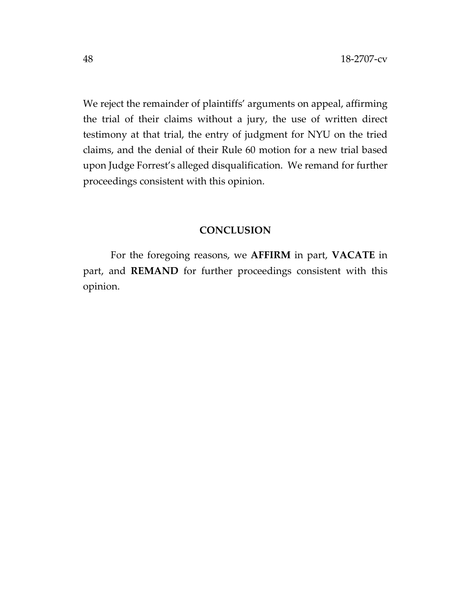We reject the remainder of plaintiffs' arguments on appeal, affirming the trial of their claims without a jury, the use of written direct testimony at that trial, the entry of judgment for NYU on the tried claims, and the denial of their Rule 60 motion for a new trial based upon Judge Forrest's alleged disqualification. We remand for further proceedings consistent with this opinion.

# **CONCLUSION**

For the foregoing reasons, we **AFFIRM** in part, **VACATE** in part, and **REMAND** for further proceedings consistent with this opinion.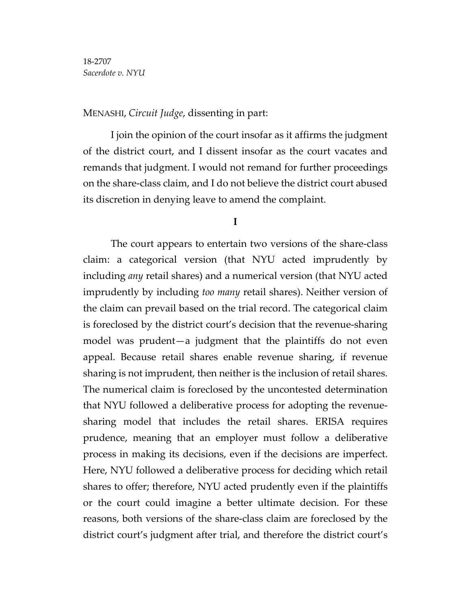# MENASHI, *Circuit Judge*, dissenting in part:

I join the opinion of the court insofar as it affirms the judgment of the district court, and I dissent insofar as the court vacates and remands that judgment. I would not remand for further proceedings on the share-class claim, and I do not believe the district court abused its discretion in denying leave to amend the complaint.

#### **I**

The court appears to entertain two versions of the share-class claim: a categorical version (that NYU acted imprudently by including *any* retail shares) and a numerical version (that NYU acted imprudently by including *too many* retail shares). Neither version of the claim can prevail based on the trial record. The categorical claim is foreclosed by the district court's decision that the revenue-sharing model was prudent—a judgment that the plaintiffs do not even appeal. Because retail shares enable revenue sharing, if revenue sharing is not imprudent, then neither is the inclusion of retail shares. The numerical claim is foreclosed by the uncontested determination that NYU followed a deliberative process for adopting the revenuesharing model that includes the retail shares. ERISA requires prudence, meaning that an employer must follow a deliberative process in making its decisions, even if the decisions are imperfect. Here, NYU followed a deliberative process for deciding which retail shares to offer; therefore, NYU acted prudently even if the plaintiffs or the court could imagine a better ultimate decision. For these reasons, both versions of the share-class claim are foreclosed by the district court's judgment after trial, and therefore the district court's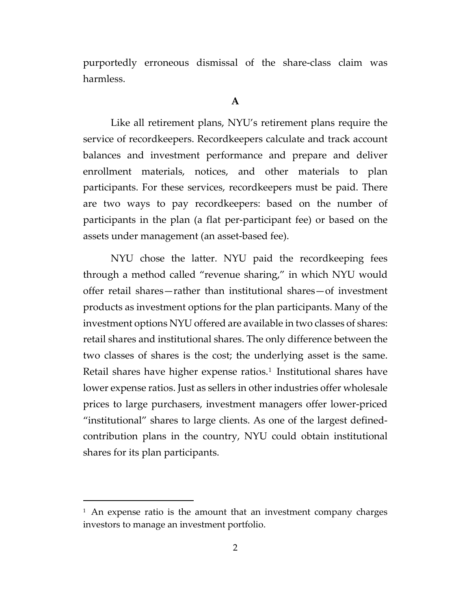purportedly erroneous dismissal of the share-class claim was harmless.

#### **A**

Like all retirement plans, NYU's retirement plans require the service of recordkeepers. Recordkeepers calculate and track account balances and investment performance and prepare and deliver enrollment materials, notices, and other materials to plan participants. For these services, recordkeepers must be paid. There are two ways to pay recordkeepers: based on the number of participants in the plan (a flat per-participant fee) or based on the assets under management (an asset-based fee).

NYU chose the latter. NYU paid the recordkeeping fees through a method called "revenue sharing," in which NYU would offer retail shares—rather than institutional shares—of investment products as investment options for the plan participants. Many of the investment options NYU offered are available in two classes of shares: retail shares and institutional shares. The only difference between the two classes of shares is the cost; the underlying asset is the same. Retail shares have higher expense ratios.<sup>[1](#page-49-0)</sup> Institutional shares have lower expense ratios. Just as sellers in other industries offer wholesale prices to large purchasers, investment managers offer lower-priced "institutional" shares to large clients. As one of the largest definedcontribution plans in the country, NYU could obtain institutional shares for its plan participants.

<span id="page-49-0"></span> $1$  An expense ratio is the amount that an investment company charges investors to manage an investment portfolio.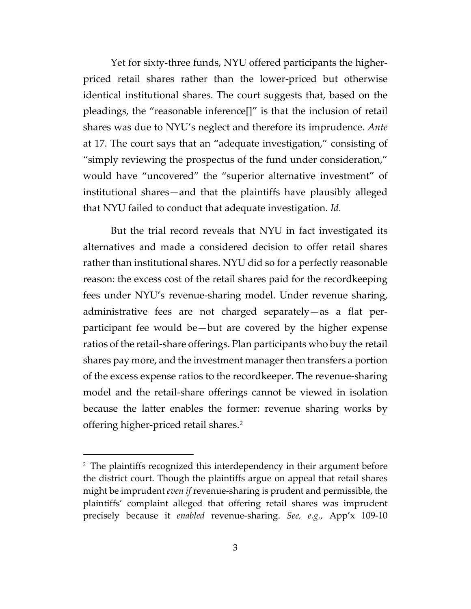Yet for sixty-three funds, NYU offered participants the higherpriced retail shares rather than the lower-priced but otherwise identical institutional shares. The court suggests that, based on the pleadings, the "reasonable inference[]" is that the inclusion of retail shares was due to NYU's neglect and therefore its imprudence. *Ante*  at 17. The court says that an "adequate investigation," consisting of "simply reviewing the prospectus of the fund under consideration," would have "uncovered" the "superior alternative investment" of institutional shares—and that the plaintiffs have plausibly alleged that NYU failed to conduct that adequate investigation. *Id.*

But the trial record reveals that NYU in fact investigated its alternatives and made a considered decision to offer retail shares rather than institutional shares. NYU did so for a perfectly reasonable reason: the excess cost of the retail shares paid for the recordkeeping fees under NYU's revenue-sharing model. Under revenue sharing, administrative fees are not charged separately—as a flat perparticipant fee would be—but are covered by the higher expense ratios of the retail-share offerings. Plan participants who buy the retail shares pay more, and the investment manager then transfers a portion of the excess expense ratios to the recordkeeper. The revenue-sharing model and the retail-share offerings cannot be viewed in isolation because the latter enables the former: revenue sharing works by offering higher-priced retail shares.[2](#page-50-0)

<span id="page-50-0"></span><sup>&</sup>lt;sup>2</sup> The plaintiffs recognized this interdependency in their argument before the district court. Though the plaintiffs argue on appeal that retail shares might be imprudent *even if* revenue-sharing is prudent and permissible, the plaintiffs' complaint alleged that offering retail shares was imprudent precisely because it *enabled* revenue-sharing. *See, e.g.*, App'x 109-10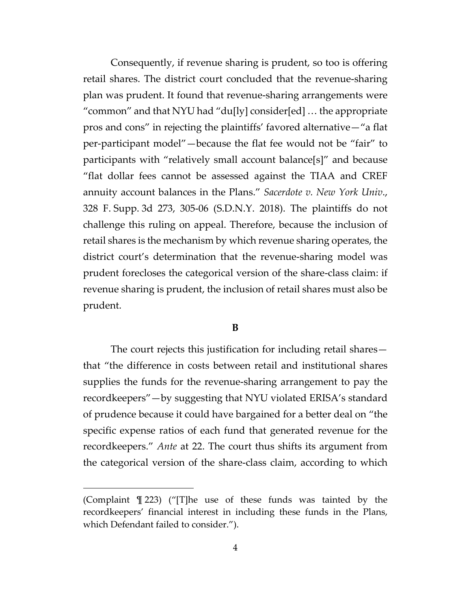Consequently, if revenue sharing is prudent, so too is offering retail shares. The district court concluded that the revenue-sharing plan was prudent. It found that revenue-sharing arrangements were "common" and that NYU had "du[ly] consider[ed] … the appropriate pros and cons" in rejecting the plaintiffs' favored alternative—"a flat per-participant model"—because the flat fee would not be "fair" to participants with "relatively small account balance[s]" and because "flat dollar fees cannot be assessed against the TIAA and CREF annuity account balances in the Plans." *Sacerdote v. New York Univ*., 328 F. Supp. 3d 273, 305-06 (S.D.N.Y. 2018). The plaintiffs do not challenge this ruling on appeal. Therefore, because the inclusion of retail shares is the mechanism by which revenue sharing operates, the district court's determination that the revenue-sharing model was prudent forecloses the categorical version of the share-class claim: if revenue sharing is prudent, the inclusion of retail shares must also be prudent.

### **B**

The court rejects this justification for including retail shares that "the difference in costs between retail and institutional shares supplies the funds for the revenue-sharing arrangement to pay the recordkeepers"—by suggesting that NYU violated ERISA's standard of prudence because it could have bargained for a better deal on "the specific expense ratios of each fund that generated revenue for the recordkeepers." *Ante* at 22. The court thus shifts its argument from the categorical version of the share-class claim, according to which

<sup>(</sup>Complaint ¶ 223) ("[T]he use of these funds was tainted by the recordkeepers' financial interest in including these funds in the Plans, which Defendant failed to consider.").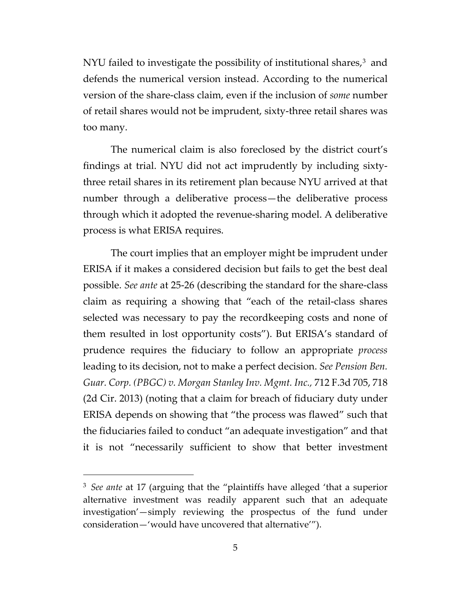NYU failed to investigate the possibility of institutional shares,<sup>[3](#page-52-0)</sup> and defends the numerical version instead. According to the numerical version of the share-class claim, even if the inclusion of *some* number of retail shares would not be imprudent, sixty-three retail shares was too many.

The numerical claim is also foreclosed by the district court's findings at trial. NYU did not act imprudently by including sixtythree retail shares in its retirement plan because NYU arrived at that number through a deliberative process—the deliberative process through which it adopted the revenue-sharing model. A deliberative process is what ERISA requires.

The court implies that an employer might be imprudent under ERISA if it makes a considered decision but fails to get the best deal possible. *See ante* at 25-26 (describing the standard for the share-class claim as requiring a showing that "each of the retail-class shares selected was necessary to pay the recordkeeping costs and none of them resulted in lost opportunity costs"). But ERISA's standard of prudence requires the fiduciary to follow an appropriate *process*  leading to its decision, not to make a perfect decision. *See Pension Ben. Guar. Corp. (PBGC) v. Morgan Stanley Inv. Mgmt. Inc.,* 712 F.3d 705, 718 (2d Cir. 2013) (noting that a claim for breach of fiduciary duty under ERISA depends on showing that "the process was flawed" such that the fiduciaries failed to conduct "an adequate investigation" and that it is not "necessarily sufficient to show that better investment

<span id="page-52-0"></span><sup>3</sup> *See ante* at 17 (arguing that the "plaintiffs have alleged 'that a superior alternative investment was readily apparent such that an adequate investigation'—simply reviewing the prospectus of the fund under consideration—'would have uncovered that alternative'").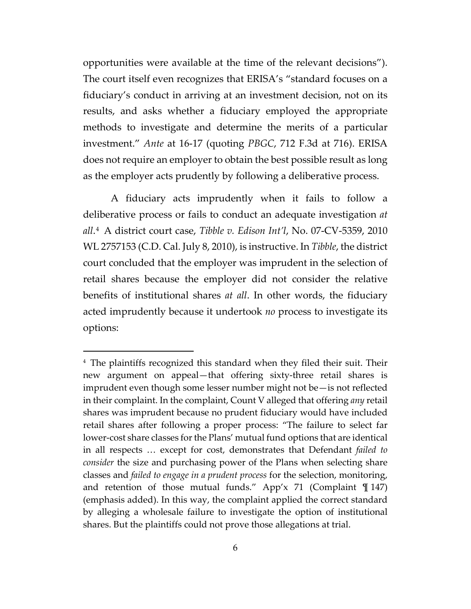opportunities were available at the time of the relevant decisions"). The court itself even recognizes that ERISA's "standard focuses on a fiduciary's conduct in arriving at an investment decision, not on its results, and asks whether a fiduciary employed the appropriate methods to investigate and determine the merits of a particular investment." *Ante* at 16-17 (quoting *PBGC*, 712 F.3d at 716). ERISA does not require an employer to obtain the best possible result as long as the employer acts prudently by following a deliberative process.

A fiduciary acts imprudently when it fails to follow a deliberative process or fails to conduct an adequate investigation *at all*.[4](#page-53-0) A district court case, *Tibble v. Edison Int'l*, No. 07-CV-5359, 2010 WL 2757153 (C.D. Cal. July 8, 2010), is instructive. In *Tibble*, the district court concluded that the employer was imprudent in the selection of retail shares because the employer did not consider the relative benefits of institutional shares *at all*. In other words, the fiduciary acted imprudently because it undertook *no* process to investigate its options:

<span id="page-53-0"></span><sup>4</sup> The plaintiffs recognized this standard when they filed their suit. Their new argument on appeal—that offering sixty-three retail shares is imprudent even though some lesser number might not be—is not reflected in their complaint. In the complaint, Count V alleged that offering *any* retail shares was imprudent because no prudent fiduciary would have included retail shares after following a proper process: "The failure to select far lower-cost share classes for the Plans' mutual fund options that are identical in all respects … except for cost, demonstrates that Defendant *failed to consider* the size and purchasing power of the Plans when selecting share classes and *failed to engage in a prudent process* for the selection, monitoring, and retention of those mutual funds." App'x 71 (Complaint  $\mathbb{I}$  147) (emphasis added). In this way, the complaint applied the correct standard by alleging a wholesale failure to investigate the option of institutional shares. But the plaintiffs could not prove those allegations at trial.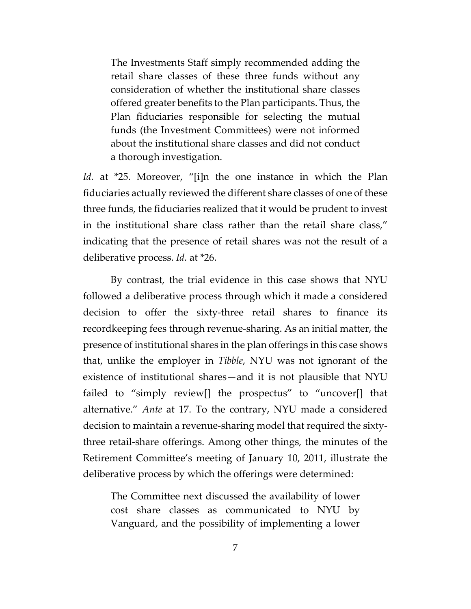The Investments Staff simply recommended adding the retail share classes of these three funds without any consideration of whether the institutional share classes offered greater benefits to the Plan participants. Thus, the Plan fiduciaries responsible for selecting the mutual funds (the Investment Committees) were not informed about the institutional share classes and did not conduct a thorough investigation.

*Id.* at \*25. Moreover, "[i]n the one instance in which the Plan fiduciaries actually reviewed the different share classes of one of these three funds, the fiduciaries realized that it would be prudent to invest in the institutional share class rather than the retail share class," indicating that the presence of retail shares was not the result of a deliberative process. *Id.* at \*26.

By contrast, the trial evidence in this case shows that NYU followed a deliberative process through which it made a considered decision to offer the sixty-three retail shares to finance its recordkeeping fees through revenue-sharing. As an initial matter, the presence of institutional shares in the plan offerings in this case shows that, unlike the employer in *Tibble*, NYU was not ignorant of the existence of institutional shares—and it is not plausible that NYU failed to "simply review[] the prospectus" to "uncover[] that alternative." *Ante* at 17. To the contrary, NYU made a considered decision to maintain a revenue-sharing model that required the sixtythree retail-share offerings. Among other things, the minutes of the Retirement Committee's meeting of January 10, 2011, illustrate the deliberative process by which the offerings were determined:

The Committee next discussed the availability of lower cost share classes as communicated to NYU by Vanguard, and the possibility of implementing a lower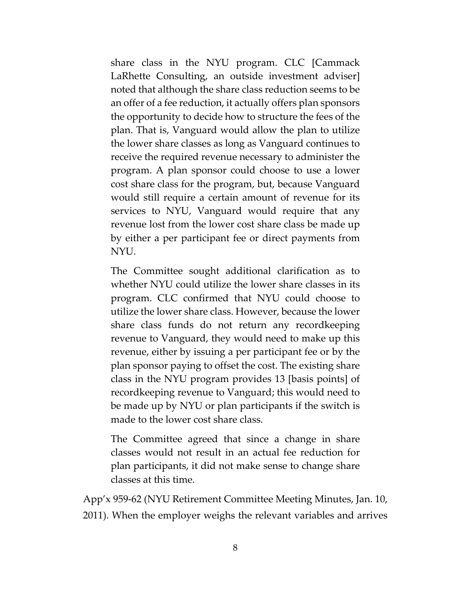share class in the NYU program. CLC [Cammack LaRhette Consulting, an outside investment adviser] noted that although the share class reduction seems to be an offer of a fee reduction, it actually offers plan sponsors the opportunity to decide how to structure the fees of the plan. That is, Vanguard would allow the plan to utilize the lower share classes as long as Vanguard continues to receive the required revenue necessary to administer the program. A plan sponsor could choose to use a lower cost share class for the program, but, because Vanguard would still require a certain amount of revenue for its services to NYU, Vanguard would require that any revenue lost from the lower cost share class be made up by either a per participant fee or direct payments from NYU.

The Committee sought additional clarification as to whether NYU could utilize the lower share classes in its program. CLC confirmed that NYU could choose to utilize the lower share class. However, because the lower share class funds do not return any recordkeeping revenue to Vanguard, they would need to make up this revenue, either by issuing a per participant fee or by the plan sponsor paying to offset the cost. The existing share class in the NYU program provides 13 [basis points] of recordkeeping revenue to Vanguard; this would need to be made up by NYU or plan participants if the switch is made to the lower cost share class.

The Committee agreed that since a change in share classes would not result in an actual fee reduction for plan participants, it did not make sense to change share classes at this time.

App'x 959-62 (NYU Retirement Committee Meeting Minutes, Jan. 10, 2011). When the employer weighs the relevant variables and arrives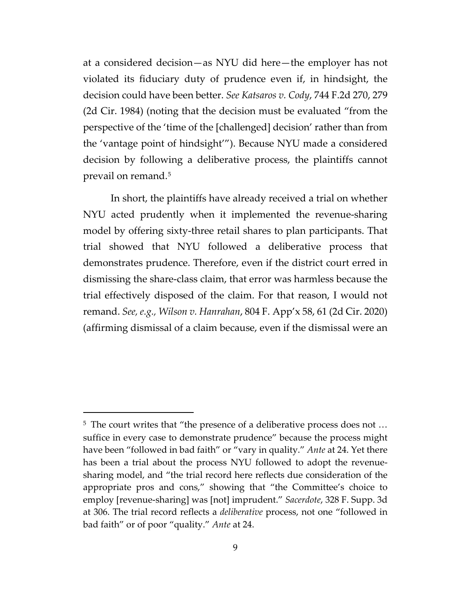at a considered decision—as NYU did here—the employer has not violated its fiduciary duty of prudence even if, in hindsight, the decision could have been better. *See Katsaros v. Cody*, 744 F.2d 270, 279 (2d Cir. 1984) (noting that the decision must be evaluated "from the perspective of the 'time of the [challenged] decision' rather than from the 'vantage point of hindsight'"). Because NYU made a considered decision by following a deliberative process, the plaintiffs cannot prevail on remand.[5](#page-56-0)

In short, the plaintiffs have already received a trial on whether NYU acted prudently when it implemented the revenue-sharing model by offering sixty-three retail shares to plan participants. That trial showed that NYU followed a deliberative process that demonstrates prudence. Therefore, even if the district court erred in dismissing the share-class claim, that error was harmless because the trial effectively disposed of the claim. For that reason, I would not remand. *See, e.g., Wilson v. Hanrahan*, 804 F. App'x 58, 61 (2d Cir. 2020) (affirming dismissal of a claim because, even if the dismissal were an

<span id="page-56-0"></span><sup>5</sup> The court writes that "the presence of a deliberative process does not … suffice in every case to demonstrate prudence" because the process might have been "followed in bad faith" or "vary in quality." *Ante* at 24. Yet there has been a trial about the process NYU followed to adopt the revenuesharing model, and "the trial record here reflects due consideration of the appropriate pros and cons," showing that "the Committee's choice to employ [revenue-sharing] was [not] imprudent." *Sacerdote*, 328 F. Supp. 3d at 306. The trial record reflects a *deliberative* process, not one "followed in bad faith" or of poor "quality." *Ante* at 24.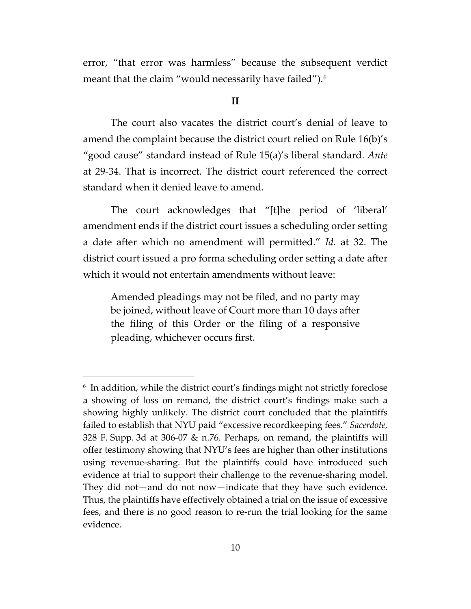error, "that error was harmless" because the subsequent verdict meant that the claim "would necessarily have failed").[6](#page-57-0)

#### **II**

The court also vacates the district court's denial of leave to amend the complaint because the district court relied on Rule 16(b)'s "good cause" standard instead of Rule 15(a)'s liberal standard. *Ante* at 29-34. That is incorrect. The district court referenced the correct standard when it denied leave to amend.

The court acknowledges that "[t]he period of 'liberal' amendment ends if the district court issues a scheduling order setting a date after which no amendment will permitted." *Id.* at 32. The district court issued a pro forma scheduling order setting a date after which it would not entertain amendments without leave:

Amended pleadings may not be filed, and no party may be joined, without leave of Court more than 10 days after the filing of this Order or the filing of a responsive pleading, whichever occurs first.

<span id="page-57-0"></span><sup>6</sup> In addition, while the district court's findings might not strictly foreclose a showing of loss on remand, the district court's findings make such a showing highly unlikely. The district court concluded that the plaintiffs failed to establish that NYU paid "excessive recordkeeping fees." *Sacerdote*, 328 F. Supp. 3d at 306-07 & n.76. Perhaps, on remand, the plaintiffs will offer testimony showing that NYU's fees are higher than other institutions using revenue-sharing. But the plaintiffs could have introduced such evidence at trial to support their challenge to the revenue-sharing model. They did not—and do not now—indicate that they have such evidence. Thus, the plaintiffs have effectively obtained a trial on the issue of excessive fees, and there is no good reason to re-run the trial looking for the same evidence.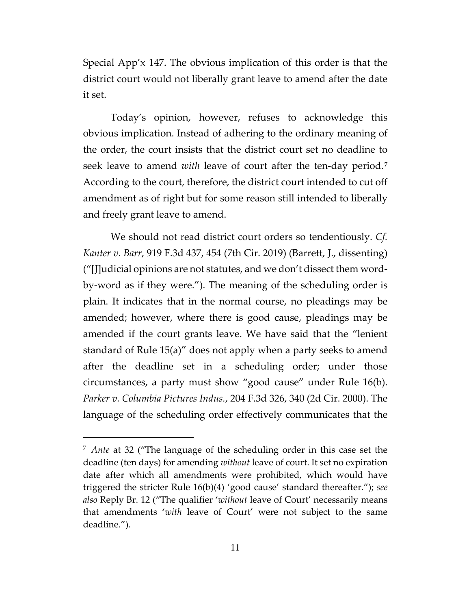Special App'x 147. The obvious implication of this order is that the district court would not liberally grant leave to amend after the date it set.

Today's opinion, however, refuses to acknowledge this obvious implication. Instead of adhering to the ordinary meaning of the order, the court insists that the district court set no deadline to seek leave to amend *with* leave of court after the ten-day period.[7](#page-58-0) According to the court, therefore, the district court intended to cut off amendment as of right but for some reason still intended to liberally and freely grant leave to amend.

We should not read district court orders so tendentiously. *Cf. Kanter v. Barr*, 919 F.3d 437, 454 (7th Cir. 2019) (Barrett, J., dissenting) ("[J]udicial opinions are not statutes, and we don't dissect them wordby-word as if they were."). The meaning of the scheduling order is plain. It indicates that in the normal course, no pleadings may be amended; however, where there is good cause, pleadings may be amended if the court grants leave. We have said that the "lenient standard of Rule 15(a)" does not apply when a party seeks to amend after the deadline set in a scheduling order; under those circumstances, a party must show "good cause" under Rule 16(b). *Parker v. Columbia Pictures Indus.*, 204 F.3d 326, 340 (2d Cir. 2000). The language of the scheduling order effectively communicates that the

<span id="page-58-0"></span><sup>7</sup> *Ante* at 32 ("The language of the scheduling order in this case set the deadline (ten days) for amending *without* leave of court. It set no expiration date after which all amendments were prohibited, which would have triggered the stricter Rule 16(b)(4) 'good cause' standard thereafter."); *see also* Reply Br. 12 ("The qualifier '*without* leave of Court' necessarily means that amendments '*with* leave of Court' were not subject to the same deadline.").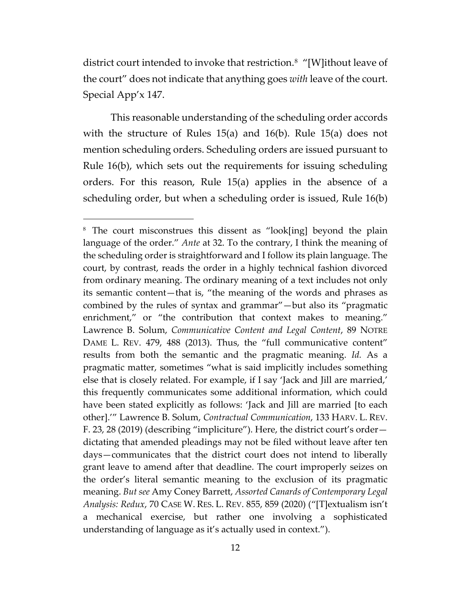district court intended to invoke that restriction.[8](#page-59-0) "[W]ithout leave of the court" does not indicate that anything goes *with* leave of the court. Special App'x 147.

This reasonable understanding of the scheduling order accords with the structure of Rules 15(a) and 16(b). Rule 15(a) does not mention scheduling orders. Scheduling orders are issued pursuant to Rule 16(b), which sets out the requirements for issuing scheduling orders. For this reason, Rule 15(a) applies in the absence of a scheduling order, but when a scheduling order is issued, Rule 16(b)

<span id="page-59-0"></span><sup>&</sup>lt;sup>8</sup> The court misconstrues this dissent as "look[ing] beyond the plain language of the order." *Ante* at 32. To the contrary, I think the meaning of the scheduling order is straightforward and I follow its plain language. The court, by contrast, reads the order in a highly technical fashion divorced from ordinary meaning. The ordinary meaning of a text includes not only its semantic content—that is, "the meaning of the words and phrases as combined by the rules of syntax and grammar"—but also its "pragmatic enrichment," or "the contribution that context makes to meaning." Lawrence B. Solum, *Communicative Content and Legal Content*, 89 NOTRE DAME L. REV. 479, 488 (2013). Thus, the "full communicative content" results from both the semantic and the pragmatic meaning. *Id.* As a pragmatic matter, sometimes "what is said implicitly includes something else that is closely related. For example, if I say 'Jack and Jill are married,' this frequently communicates some additional information, which could have been stated explicitly as follows: 'Jack and Jill are married [to each other].'" Lawrence B. Solum, *Contractual Communication*, 133 HARV. L. REV. F. 23, 28 (2019) (describing "impliciture"). Here, the district court's order dictating that amended pleadings may not be filed without leave after ten days—communicates that the district court does not intend to liberally grant leave to amend after that deadline. The court improperly seizes on the order's literal semantic meaning to the exclusion of its pragmatic meaning. *But see* Amy Coney Barrett, *Assorted Canards of Contemporary Legal Analysis: Redux*, 70 CASE W. RES. L. REV. 855, 859 (2020) ("[T]extualism isn't a mechanical exercise, but rather one involving a sophisticated understanding of language as it's actually used in context.").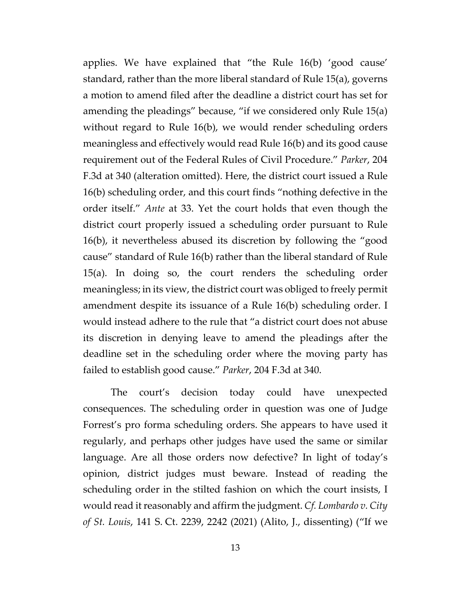applies. We have explained that "the Rule 16(b) 'good cause' standard, rather than the more liberal standard of Rule 15(a), governs a motion to amend filed after the deadline a district court has set for amending the pleadings" because, "if we considered only Rule 15(a) without regard to Rule 16(b), we would render scheduling orders meaningless and effectively would read Rule 16(b) and its good cause requirement out of the Federal Rules of Civil Procedure." *Parker*, 204 F.3d at 340 (alteration omitted). Here, the district court issued a Rule 16(b) scheduling order, and this court finds "nothing defective in the order itself." *Ante* at 33. Yet the court holds that even though the district court properly issued a scheduling order pursuant to Rule 16(b), it nevertheless abused its discretion by following the "good cause" standard of Rule 16(b) rather than the liberal standard of Rule 15(a). In doing so, the court renders the scheduling order meaningless; in its view, the district court was obliged to freely permit amendment despite its issuance of a Rule 16(b) scheduling order. I would instead adhere to the rule that "a district court does not abuse its discretion in denying leave to amend the pleadings after the deadline set in the scheduling order where the moving party has failed to establish good cause." *Parker*, 204 F.3d at 340.

The court's decision today could have unexpected consequences. The scheduling order in question was one of Judge Forrest's pro forma scheduling orders. She appears to have used it regularly, and perhaps other judges have used the same or similar language. Are all those orders now defective? In light of today's opinion, district judges must beware. Instead of reading the scheduling order in the stilted fashion on which the court insists, I would read it reasonably and affirm the judgment. *Cf. Lombardo v. City of St. Louis*, 141 S. Ct. 2239, 2242 (2021) (Alito, J., dissenting) ("If we